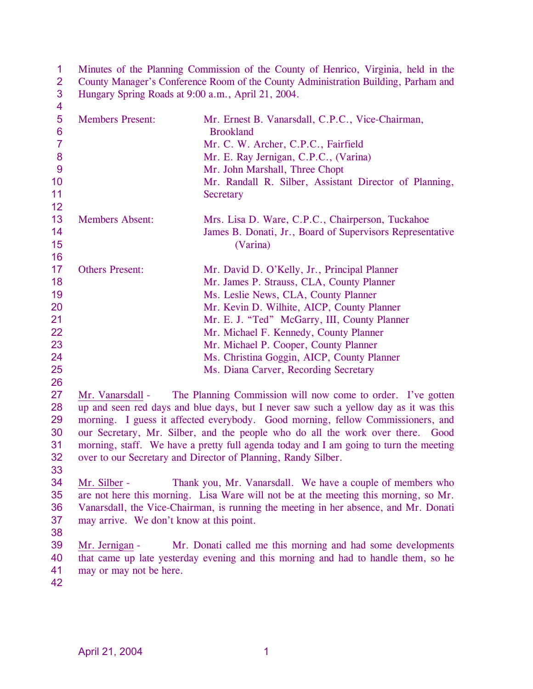| 3<br>Hungary Spring Roads at 9:00 a.m., April 21, 2004.<br>$\overline{\mathbf{4}}$<br>$\overline{5}$<br><b>Members Present:</b><br>Mr. Ernest B. Vanarsdall, C.P.C., Vice-Chairman,<br>$6\phantom{1}6$<br><b>Brookland</b><br>$\overline{7}$<br>Mr. C. W. Archer, C.P.C., Fairfield<br>$\boldsymbol{8}$<br>Mr. E. Ray Jernigan, C.P.C., (Varina)<br>9<br>Mr. John Marshall, Three Chopt<br>10<br>Mr. Randall R. Silber, Assistant Director of Planning,<br>11<br>Secretary<br>12<br>13<br><b>Members Absent:</b><br>Mrs. Lisa D. Ware, C.P.C., Chairperson, Tuckahoe<br>14<br>James B. Donati, Jr., Board of Supervisors Representative<br>15<br>(Varina)<br>16<br>17<br><b>Others Present:</b><br>Mr. David D. O'Kelly, Jr., Principal Planner<br>18<br>Mr. James P. Strauss, CLA, County Planner<br>19<br>Ms. Leslie News, CLA, County Planner<br>20<br>Mr. Kevin D. Wilhite, AICP, County Planner<br>21<br>Mr. E. J. "Ted" McGarry, III, County Planner<br>22<br>Mr. Michael F. Kennedy, County Planner<br>23<br>Mr. Michael P. Cooper, County Planner<br>24<br>Ms. Christina Goggin, AICP, County Planner<br>25 |
|---------------------------------------------------------------------------------------------------------------------------------------------------------------------------------------------------------------------------------------------------------------------------------------------------------------------------------------------------------------------------------------------------------------------------------------------------------------------------------------------------------------------------------------------------------------------------------------------------------------------------------------------------------------------------------------------------------------------------------------------------------------------------------------------------------------------------------------------------------------------------------------------------------------------------------------------------------------------------------------------------------------------------------------------------------------------------------------------------------------------|
|                                                                                                                                                                                                                                                                                                                                                                                                                                                                                                                                                                                                                                                                                                                                                                                                                                                                                                                                                                                                                                                                                                                     |
|                                                                                                                                                                                                                                                                                                                                                                                                                                                                                                                                                                                                                                                                                                                                                                                                                                                                                                                                                                                                                                                                                                                     |
|                                                                                                                                                                                                                                                                                                                                                                                                                                                                                                                                                                                                                                                                                                                                                                                                                                                                                                                                                                                                                                                                                                                     |
|                                                                                                                                                                                                                                                                                                                                                                                                                                                                                                                                                                                                                                                                                                                                                                                                                                                                                                                                                                                                                                                                                                                     |
|                                                                                                                                                                                                                                                                                                                                                                                                                                                                                                                                                                                                                                                                                                                                                                                                                                                                                                                                                                                                                                                                                                                     |
|                                                                                                                                                                                                                                                                                                                                                                                                                                                                                                                                                                                                                                                                                                                                                                                                                                                                                                                                                                                                                                                                                                                     |
|                                                                                                                                                                                                                                                                                                                                                                                                                                                                                                                                                                                                                                                                                                                                                                                                                                                                                                                                                                                                                                                                                                                     |
|                                                                                                                                                                                                                                                                                                                                                                                                                                                                                                                                                                                                                                                                                                                                                                                                                                                                                                                                                                                                                                                                                                                     |
|                                                                                                                                                                                                                                                                                                                                                                                                                                                                                                                                                                                                                                                                                                                                                                                                                                                                                                                                                                                                                                                                                                                     |
|                                                                                                                                                                                                                                                                                                                                                                                                                                                                                                                                                                                                                                                                                                                                                                                                                                                                                                                                                                                                                                                                                                                     |
|                                                                                                                                                                                                                                                                                                                                                                                                                                                                                                                                                                                                                                                                                                                                                                                                                                                                                                                                                                                                                                                                                                                     |
|                                                                                                                                                                                                                                                                                                                                                                                                                                                                                                                                                                                                                                                                                                                                                                                                                                                                                                                                                                                                                                                                                                                     |
|                                                                                                                                                                                                                                                                                                                                                                                                                                                                                                                                                                                                                                                                                                                                                                                                                                                                                                                                                                                                                                                                                                                     |
|                                                                                                                                                                                                                                                                                                                                                                                                                                                                                                                                                                                                                                                                                                                                                                                                                                                                                                                                                                                                                                                                                                                     |
|                                                                                                                                                                                                                                                                                                                                                                                                                                                                                                                                                                                                                                                                                                                                                                                                                                                                                                                                                                                                                                                                                                                     |
|                                                                                                                                                                                                                                                                                                                                                                                                                                                                                                                                                                                                                                                                                                                                                                                                                                                                                                                                                                                                                                                                                                                     |
|                                                                                                                                                                                                                                                                                                                                                                                                                                                                                                                                                                                                                                                                                                                                                                                                                                                                                                                                                                                                                                                                                                                     |
|                                                                                                                                                                                                                                                                                                                                                                                                                                                                                                                                                                                                                                                                                                                                                                                                                                                                                                                                                                                                                                                                                                                     |
|                                                                                                                                                                                                                                                                                                                                                                                                                                                                                                                                                                                                                                                                                                                                                                                                                                                                                                                                                                                                                                                                                                                     |
|                                                                                                                                                                                                                                                                                                                                                                                                                                                                                                                                                                                                                                                                                                                                                                                                                                                                                                                                                                                                                                                                                                                     |
| Ms. Diana Carver, Recording Secretary                                                                                                                                                                                                                                                                                                                                                                                                                                                                                                                                                                                                                                                                                                                                                                                                                                                                                                                                                                                                                                                                               |
| 26                                                                                                                                                                                                                                                                                                                                                                                                                                                                                                                                                                                                                                                                                                                                                                                                                                                                                                                                                                                                                                                                                                                  |
| 27<br>The Planning Commission will now come to order. I've gotten<br>Mr. Vanarsdall -                                                                                                                                                                                                                                                                                                                                                                                                                                                                                                                                                                                                                                                                                                                                                                                                                                                                                                                                                                                                                               |
| up and seen red days and blue days, but I never saw such a yellow day as it was this<br>28                                                                                                                                                                                                                                                                                                                                                                                                                                                                                                                                                                                                                                                                                                                                                                                                                                                                                                                                                                                                                          |
| 29<br>morning. I guess it affected everybody. Good morning, fellow Commissioners, and                                                                                                                                                                                                                                                                                                                                                                                                                                                                                                                                                                                                                                                                                                                                                                                                                                                                                                                                                                                                                               |
| our Secretary, Mr. Silber, and the people who do all the work over there. Good<br>30                                                                                                                                                                                                                                                                                                                                                                                                                                                                                                                                                                                                                                                                                                                                                                                                                                                                                                                                                                                                                                |
| morning, staff. We have a pretty full agenda today and I am going to turn the meeting<br>31                                                                                                                                                                                                                                                                                                                                                                                                                                                                                                                                                                                                                                                                                                                                                                                                                                                                                                                                                                                                                         |
| 32<br>over to our Secretary and Director of Planning, Randy Silber.                                                                                                                                                                                                                                                                                                                                                                                                                                                                                                                                                                                                                                                                                                                                                                                                                                                                                                                                                                                                                                                 |
| 33                                                                                                                                                                                                                                                                                                                                                                                                                                                                                                                                                                                                                                                                                                                                                                                                                                                                                                                                                                                                                                                                                                                  |
| 34<br>Mr. Silber -<br>Thank you, Mr. Vanarsdall. We have a couple of members who                                                                                                                                                                                                                                                                                                                                                                                                                                                                                                                                                                                                                                                                                                                                                                                                                                                                                                                                                                                                                                    |
| 35<br>are not here this morning. Lisa Ware will not be at the meeting this morning, so Mr.                                                                                                                                                                                                                                                                                                                                                                                                                                                                                                                                                                                                                                                                                                                                                                                                                                                                                                                                                                                                                          |
| 36<br>Vanarsdall, the Vice-Chairman, is running the meeting in her absence, and Mr. Donati                                                                                                                                                                                                                                                                                                                                                                                                                                                                                                                                                                                                                                                                                                                                                                                                                                                                                                                                                                                                                          |
| 37<br>may arrive. We don't know at this point.                                                                                                                                                                                                                                                                                                                                                                                                                                                                                                                                                                                                                                                                                                                                                                                                                                                                                                                                                                                                                                                                      |
| 38                                                                                                                                                                                                                                                                                                                                                                                                                                                                                                                                                                                                                                                                                                                                                                                                                                                                                                                                                                                                                                                                                                                  |
| 39<br>Mr. Jernigan -<br>Mr. Donati called me this morning and had some developments                                                                                                                                                                                                                                                                                                                                                                                                                                                                                                                                                                                                                                                                                                                                                                                                                                                                                                                                                                                                                                 |
| that came up late yesterday evening and this morning and had to handle them, so he<br>40<br>41<br>may or may not be here.                                                                                                                                                                                                                                                                                                                                                                                                                                                                                                                                                                                                                                                                                                                                                                                                                                                                                                                                                                                           |
| 42                                                                                                                                                                                                                                                                                                                                                                                                                                                                                                                                                                                                                                                                                                                                                                                                                                                                                                                                                                                                                                                                                                                  |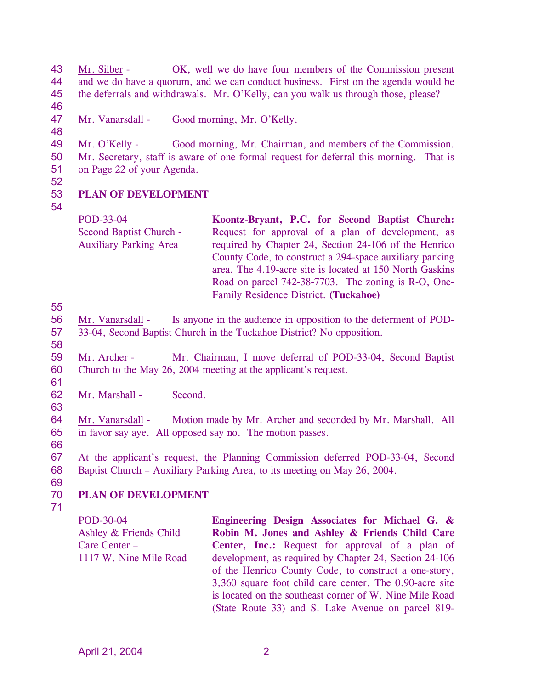43 44 45 46 Mr. Silber - OK, well we do have four members of the Commission present and we do have a quorum, and we can conduct business. First on the agenda would be the deferrals and withdrawals. Mr. O'Kelly, can you walk us through those, please?

- 47 Mr. Vanarsdall - Good morning, Mr. O'Kelly.
- 48

49 50 51 Mr. O'Kelly - Good morning, Mr. Chairman, and members of the Commission. Mr. Secretary, staff is aware of one formal request for deferral this morning. That is on Page 22 of your Agenda.

52

#### 53 **PLAN OF DEVELOPMENT**

54

POD-33-04 Second Baptist Church - Auxiliary Parking Area **Koontz-Bryant, P.C. for Second Baptist Church:**  Request for approval of a plan of development, as required by Chapter 24, Section 24-106 of the Henrico County Code, to construct a 294-space auxiliary parking area. The 4.19-acre site is located at 150 North Gaskins Road on parcel 742-38-7703. The zoning is R-O, One-Family Residence District. **(Tuckahoe)** 

55

- 56 57 Mr. Vanarsdall - Is anyone in the audience in opposition to the deferment of POD-33-04, Second Baptist Church in the Tuckahoe District? No opposition.
- 58

61

63

59 60 Mr. Archer - Mr. Chairman, I move deferral of POD-33-04, Second Baptist Church to the May 26, 2004 meeting at the applicant's request.

- 62 Mr. Marshall - Second.
- 64 65 Mr. Vanarsdall - Motion made by Mr. Archer and seconded by Mr. Marshall. All in favor say aye. All opposed say no. The motion passes.
- 66

67 68 At the applicant's request, the Planning Commission deferred POD-33-04, Second Baptist Church – Auxiliary Parking Area, to its meeting on May 26, 2004.

69 70

# **PLAN OF DEVELOPMENT**

71

POD-30-04 Ashley & Friends Child Care Center – 1117 W. Nine Mile Road **Engineering Design Associates for Michael G. & Robin M. Jones and Ashley & Friends Child Care Center, Inc.:** Request for approval of a plan of development, as required by Chapter 24, Section 24-106 of the Henrico County Code, to construct a one-story, 3,360 square foot child care center. The 0.90-acre site is located on the southeast corner of W. Nine Mile Road (State Route 33) and S. Lake Avenue on parcel 819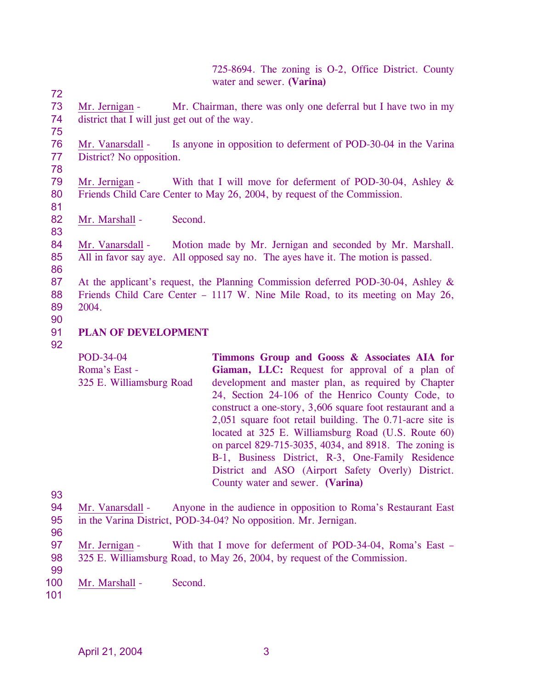725-8694. The zoning is O-2, Office District. County water and sewer. **(Varina)** 

73 74 75 Mr. Jernigan - Mr. Chairman, there was only one deferral but I have two in my district that I will just get out of the way.

76 77 Mr. Vanarsdall - Is anyone in opposition to deferment of POD-30-04 in the Varina District? No opposition.

79 80 Mr. Jernigan - With that I will move for deferment of POD-30-04, Ashley & Friends Child Care Center to May 26, 2004, by request of the Commission.

82 Mr. Marshall - Second.

84 85 Mr. Vanarsdall - Motion made by Mr. Jernigan and seconded by Mr. Marshall. All in favor say aye. All opposed say no. The ayes have it. The motion is passed.

87 88 89 At the applicant's request, the Planning Commission deferred POD-30-04, Ashley & Friends Child Care Center – 1117 W. Nine Mile Road, to its meeting on May 26, 2004.

90

72

78

81

83

86

- 91 **PLAN OF DEVELOPMENT**
- 92

POD-34-04 Roma's East - 325 E. Williamsburg Road **Timmons Group and Gooss & Associates AIA for Giaman, LLC:** Request for approval of a plan of development and master plan, as required by Chapter 24, Section 24-106 of the Henrico County Code, to construct a one-story, 3,606 square foot restaurant and a 2,051 square foot retail building. The 0.71-acre site is located at 325 E. Williamsburg Road (U.S. Route 60) on parcel 829-715-3035, 4034, and 8918. The zoning is B-1, Business District, R-3, One-Family Residence District and ASO (Airport Safety Overly) District. County water and sewer. **(Varina)** 

- 94 95 Mr. Vanarsdall - Anyone in the audience in opposition to Roma's Restaurant East in the Varina District, POD-34-04? No opposition. Mr. Jernigan.
- 96

93

- 97 98 Mr. Jernigan - With that I move for deferment of POD-34-04, Roma's East -325 E. Williamsburg Road, to May 26, 2004, by request of the Commission.
- 99

100 Mr. Marshall - Second.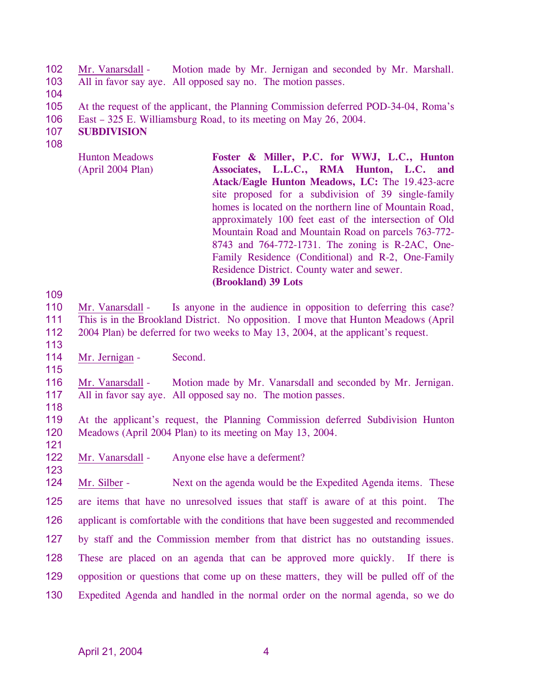102 103 Mr. Vanarsdall - Motion made by Mr. Jernigan and seconded by Mr. Marshall. All in favor say aye. All opposed say no. The motion passes.

- 104
- 105 At the request of the applicant, the Planning Commission deferred POD-34-04, Roma's
- 106 East – 325 E. Williamsburg Road, to its meeting on May 26, 2004.
- 107 **SUBDIVISION**
- 108

Hunton Meadows (April 2004 Plan) **Foster & Miller, P.C. for WWJ, L.C., Hunton Associates, L.L.C., RMA Hunton, L.C. and Atack/Eagle Hunton Meadows, LC:** The 19.423-acre site proposed for a subdivision of 39 single-family homes is located on the northern line of Mountain Road, approximately 100 feet east of the intersection of Old Mountain Road and Mountain Road on parcels 763-772- 8743 and 764-772-1731. The zoning is R-2AC, One-Family Residence (Conditional) and R-2, One-Family Residence District. County water and sewer. **(Brookland) 39 Lots** 

109

- 110 111 Mr. Vanarsdall - Is anyone in the audience in opposition to deferring this case? This is in the Brookland District. No opposition. I move that Hunton Meadows (April
- 112 2004 Plan) be deferred for two weeks to May 13, 2004, at the applicant's request.
- 113 114

Mr. Jernigan - Second.

- 115 116 117 Mr. Vanarsdall - Motion made by Mr. Vanarsdall and seconded by Mr. Jernigan. All in favor say aye. All opposed say no. The motion passes.
- 118

123

119 120 121 At the applicant's request, the Planning Commission deferred Subdivision Hunton Meadows (April 2004 Plan) to its meeting on May 13, 2004.

122 Mr. Vanarsdall - Anyone else have a deferment?

Mr. Silber - Next on the agenda would be the Expedited Agenda items. These are items that have no unresolved issues that staff is aware of at this point. The applicant is comfortable with the conditions that have been suggested and recommended by staff and the Commission member from that district has no outstanding issues. These are placed on an agenda that can be approved more quickly. If there is opposition or questions that come up on these matters, they will be pulled off of the Expedited Agenda and handled in the normal order on the normal agenda, so we do 124 125 126 127 128 129 130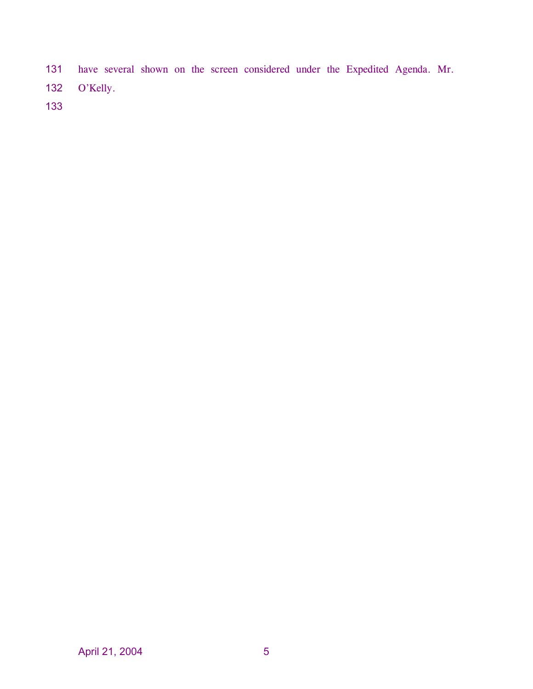have several shown on the screen considered under the Expedited Agenda. Mr. O'Kelly. 131 132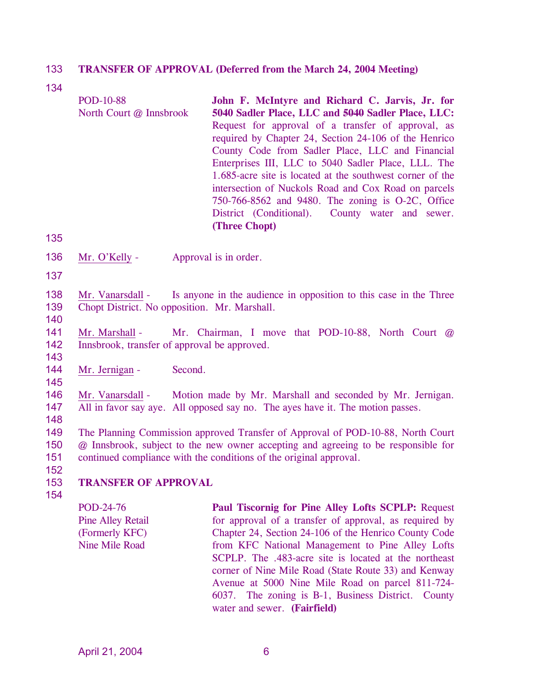#### 133 **TRANSFER OF APPROVAL (Deferred from the March 24, 2004 Meeting)**

134

| <b>POD-10-88</b>                                 | John F. McIntyre and Richard C. Jarvis, Jr. for           |  |  |  |
|--------------------------------------------------|-----------------------------------------------------------|--|--|--|
| North Court @ Innsbrook                          | 5040 Sadler Place, LLC and 5040 Sadler Place, LLC:        |  |  |  |
|                                                  | Request for approval of a transfer of approval, as        |  |  |  |
|                                                  | required by Chapter 24, Section 24-106 of the Henrico     |  |  |  |
| County Code from Sadler Place, LLC and Financial |                                                           |  |  |  |
|                                                  | Enterprises III, LLC to 5040 Sadler Place, LLL. The       |  |  |  |
|                                                  | 1.685-acre site is located at the southwest corner of the |  |  |  |
|                                                  | intersection of Nuckols Road and Cox Road on parcels      |  |  |  |
|                                                  | 750-766-8562 and 9480. The zoning is O-2C, Office         |  |  |  |
|                                                  | District (Conditional). County water and sewer.           |  |  |  |
|                                                  | (Three Chopt)                                             |  |  |  |

135

- 136 Mr. O'Kelly - Approval is in order.
- 137
- 138 139 Mr. Vanarsdall - Is anyone in the audience in opposition to this case in the Three Chopt District. No opposition. Mr. Marshall.
- 140

143

145

- 141 142 Mr. Marshall - Mr. Chairman, I move that POD-10-88, North Court @ Innsbrook, transfer of approval be approved.
- 144 Mr. Jernigan - Second.
- 146 147 Mr. Vanarsdall - Motion made by Mr. Marshall and seconded by Mr. Jernigan. All in favor say aye. All opposed say no. The ayes have it. The motion passes.
- 148

149 150 151 152 The Planning Commission approved Transfer of Approval of POD-10-88, North Court @ Innsbrook, subject to the new owner accepting and agreeing to be responsible for continued compliance with the conditions of the original approval.

#### 153 **TRANSFER OF APPROVAL**

154

POD-24-76 Pine Alley Retail (Formerly KFC) Nine Mile Road

**Paul Tiscornig for Pine Alley Lofts SCPLP:** Request for approval of a transfer of approval, as required by Chapter 24, Section 24-106 of the Henrico County Code from KFC National Management to Pine Alley Lofts SCPLP. The .483-acre site is located at the northeast corner of Nine Mile Road (State Route 33) and Kenway Avenue at 5000 Nine Mile Road on parcel 811-724- 6037. The zoning is B-1, Business District. County water and sewer. **(Fairfield)**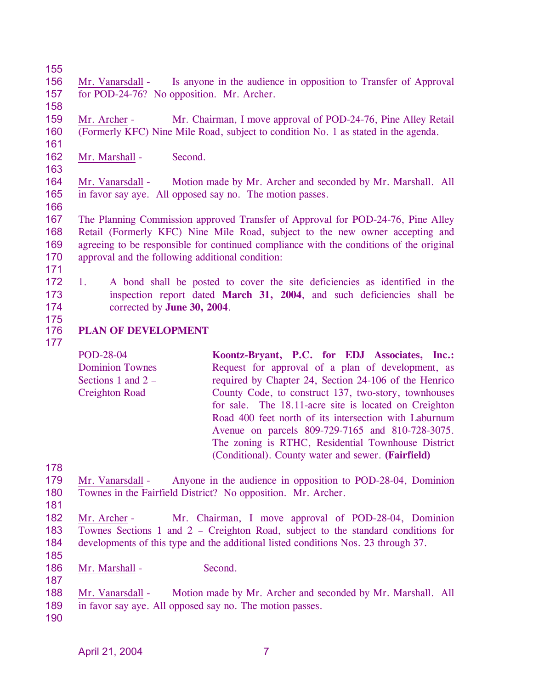155

158

156 157 Mr. Vanarsdall - Is anyone in the audience in opposition to Transfer of Approval for POD-24-76? No opposition. Mr. Archer.

159 160 Mr. Archer - Mr. Chairman, I move approval of POD-24-76, Pine Alley Retail (Formerly KFC) Nine Mile Road, subject to condition No. 1 as stated in the agenda.

161 162

163

Mr. Marshall - Second.

164 165 Mr. Vanarsdall - Motion made by Mr. Archer and seconded by Mr. Marshall. All in favor say aye. All opposed say no. The motion passes.

166

167 168 169 170 The Planning Commission approved Transfer of Approval for POD-24-76, Pine Alley Retail (Formerly KFC) Nine Mile Road, subject to the new owner accepting and agreeing to be responsible for continued compliance with the conditions of the original approval and the following additional condition:

1. A bond shall be posted to cover the site deficiencies as identified in the

inspection report dated **March 31, 2004**, and such deficiencies shall be

- 171
- 172

173

- 174
- 175 176

177

**PLAN OF DEVELOPMENT** 

corrected by **June 30, 2004**.

POD-28-04 Dominion Townes Sections 1 and 2 – Creighton Road **Koontz-Bryant, P.C. for EDJ Associates, Inc.:**  Request for approval of a plan of development, as required by Chapter 24, Section 24-106 of the Henrico County Code, to construct 137, two-story, townhouses for sale. The 18.11-acre site is located on Creighton Road 400 feet north of its intersection with Laburnum Avenue on parcels 809-729-7165 and 810-728-3075. The zoning is RTHC, Residential Townhouse District (Conditional). County water and sewer. **(Fairfield)**

178

179 180 Mr. Vanarsdall - Anyone in the audience in opposition to POD-28-04, Dominion Townes in the Fairfield District? No opposition. Mr. Archer.

181

182 183 184 185 Mr. Archer - Mr. Chairman, I move approval of POD-28-04, Dominion Townes Sections 1 and 2 – Creighton Road, subject to the standard conditions for developments of this type and the additional listed conditions Nos. 23 through 37.

186 Mr. Marshall - Second.

- 188 189 Mr. Vanarsdall - Motion made by Mr. Archer and seconded by Mr. Marshall. All in favor say aye. All opposed say no. The motion passes.
- 190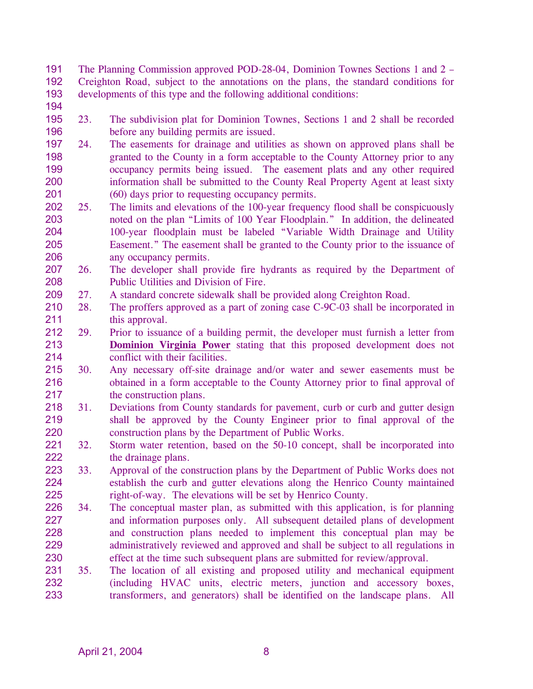191 192 193 The Planning Commission approved POD-28-04, Dominion Townes Sections 1 and 2 – Creighton Road, subject to the annotations on the plans, the standard conditions for developments of this type and the following additional conditions:

- 194
- 195 196 23. The subdivision plat for Dominion Townes, Sections 1 and 2 shall be recorded before any building permits are issued.
- 197 198 199 200 201 24. The easements for drainage and utilities as shown on approved plans shall be granted to the County in a form acceptable to the County Attorney prior to any occupancy permits being issued. The easement plats and any other required information shall be submitted to the County Real Property Agent at least sixty (60) days prior to requesting occupancy permits.
- 202 203 204 205 206 25. The limits and elevations of the 100-year frequency flood shall be conspicuously noted on the plan "Limits of 100 Year Floodplain." In addition, the delineated 100-year floodplain must be labeled "Variable Width Drainage and Utility Easement." The easement shall be granted to the County prior to the issuance of any occupancy permits.
- 207 208 26. The developer shall provide fire hydrants as required by the Department of Public Utilities and Division of Fire.
- 209 27. A standard concrete sidewalk shall be provided along Creighton Road.
- 210 211 28. The proffers approved as a part of zoning case C-9C-03 shall be incorporated in this approval.
- 212 29. Prior to issuance of a building permit, the developer must furnish a letter from **Dominion Virginia Power** stating that this proposed development does not conflict with their facilities. 213 214
- 215 216 217 30. Any necessary off-site drainage and/or water and sewer easements must be obtained in a form acceptable to the County Attorney prior to final approval of the construction plans.
- 218 219 220 31. Deviations from County standards for pavement, curb or curb and gutter design shall be approved by the County Engineer prior to final approval of the construction plans by the Department of Public Works.
- 221 222 32. Storm water retention, based on the 50-10 concept, shall be incorporated into the drainage plans.
- 223 224 225 33. Approval of the construction plans by the Department of Public Works does not establish the curb and gutter elevations along the Henrico County maintained right-of-way. The elevations will be set by Henrico County.
- 226 227 228 229 230 34. The conceptual master plan, as submitted with this application, is for planning and information purposes only. All subsequent detailed plans of development and construction plans needed to implement this conceptual plan may be administratively reviewed and approved and shall be subject to all regulations in effect at the time such subsequent plans are submitted for review/approval.
- 231 232 233 35. The location of all existing and proposed utility and mechanical equipment (including HVAC units, electric meters, junction and accessory boxes, transformers, and generators) shall be identified on the landscape plans. All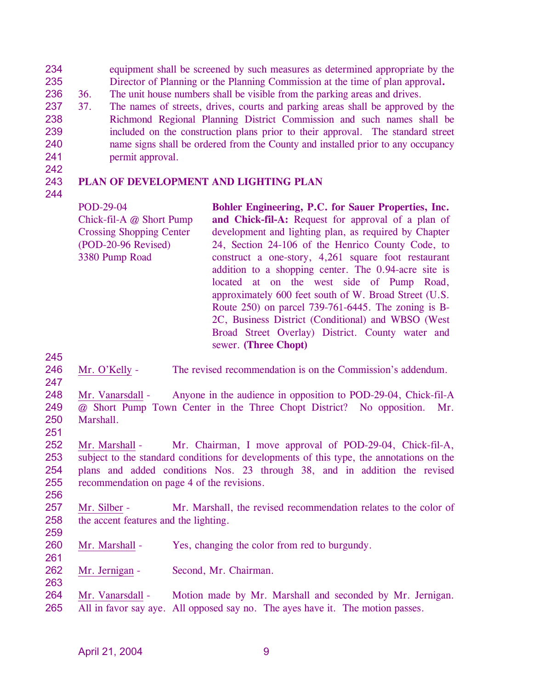234 235 equipment shall be screened by such measures as determined appropriate by the Director of Planning or the Planning Commission at the time of plan approval**.**

- 236 36. The unit house numbers shall be visible from the parking areas and drives.
- 237 238 239 240 241 37. The names of streets, drives, courts and parking areas shall be approved by the Richmond Regional Planning District Commission and such names shall be included on the construction plans prior to their approval. The standard street name signs shall be ordered from the County and installed prior to any occupancy permit approval.

#### 243 **PLAN OF DEVELOPMENT AND LIGHTING PLAN**

244

242

POD-29-04 Chick-fil-A @ Short Pump Crossing Shopping Center (POD-20-96 Revised) 3380 Pump Road

**Bohler Engineering, P.C. for Sauer Properties, Inc. and Chick-fil-A:** Request for approval of a plan of development and lighting plan, as required by Chapter 24, Section 24-106 of the Henrico County Code, to construct a one-story, 4,261 square foot restaurant addition to a shopping center. The 0.94-acre site is located at on the west side of Pump Road, approximately 600 feet south of W. Broad Street (U.S. Route 250) on parcel 739-761-6445. The zoning is B-2C, Business District (Conditional) and WBSO (West Broad Street Overlay) District. County water and sewer. **(Three Chopt)** 

245

- 246 247
- Mr. O'Kelly The revised recommendation is on the Commission's addendum.
- 248 249 250 Mr. Vanarsdall - Anyone in the audience in opposition to POD-29-04, Chick-fil-A @ Short Pump Town Center in the Three Chopt District? No opposition. Mr. Marshall.
- 251

252 253 254 255 Mr. Marshall - Mr. Chairman, I move approval of POD-29-04, Chick-fil-A, subject to the standard conditions for developments of this type, the annotations on the plans and added conditions Nos. 23 through 38, and in addition the revised recommendation on page 4 of the revisions.

256

257 258 Mr. Silber - Mr. Marshall, the revised recommendation relates to the color of the accent features and the lighting.

259

- 260 261 Mr. Marshall - Yes, changing the color from red to burgundy.
- 262 Mr. Jernigan - Second, Mr. Chairman.
- Mr. Vanarsdall Motion made by Mr. Marshall and seconded by Mr. Jernigan. All in favor say aye. All opposed say no. The ayes have it. The motion passes. 264 265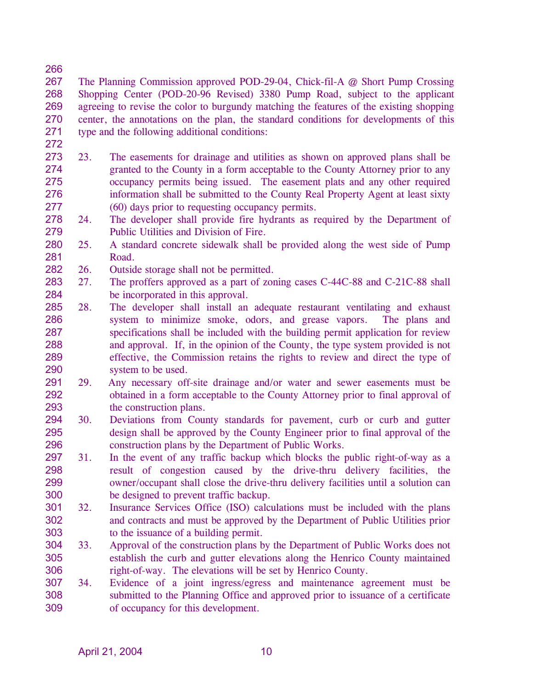267 268 269 270 271 The Planning Commission approved POD-29-04, Chick-fil-A @ Short Pump Crossing Shopping Center (POD-20-96 Revised) 3380 Pump Road, subject to the applicant agreeing to revise the color to burgundy matching the features of the existing shopping center, the annotations on the plan, the standard conditions for developments of this type and the following additional conditions:

272

- 273 274 275 276 277 23. The easements for drainage and utilities as shown on approved plans shall be granted to the County in a form acceptable to the County Attorney prior to any occupancy permits being issued. The easement plats and any other required information shall be submitted to the County Real Property Agent at least sixty (60) days prior to requesting occupancy permits.
- 278 279 24. The developer shall provide fire hydrants as required by the Department of Public Utilities and Division of Fire.
- 280 281 25. A standard concrete sidewalk shall be provided along the west side of Pump Road.
- 282 26. Outside storage shall not be permitted.
- 283 284 27. The proffers approved as a part of zoning cases C-44C-88 and C-21C-88 shall be incorporated in this approval.
- 285 286 287 288 289 290 28. The developer shall install an adequate restaurant ventilating and exhaust system to minimize smoke, odors, and grease vapors. The plans and specifications shall be included with the building permit application for review and approval. If, in the opinion of the County, the type system provided is not effective, the Commission retains the rights to review and direct the type of system to be used.
- 291 292 293 29. Any necessary off-site drainage and/or water and sewer easements must be obtained in a form acceptable to the County Attorney prior to final approval of the construction plans.
- 294 295 296 30. Deviations from County standards for pavement, curb or curb and gutter design shall be approved by the County Engineer prior to final approval of the construction plans by the Department of Public Works.
- 297 298 299 300 31. In the event of any traffic backup which blocks the public right-of-way as a result of congestion caused by the drive-thru delivery facilities, the owner/occupant shall close the drive-thru delivery facilities until a solution can be designed to prevent traffic backup.
- 301 302 303 32. Insurance Services Office (ISO) calculations must be included with the plans and contracts and must be approved by the Department of Public Utilities prior to the issuance of a building permit.
- 304 305 306 33. Approval of the construction plans by the Department of Public Works does not establish the curb and gutter elevations along the Henrico County maintained right-of-way. The elevations will be set by Henrico County.
- 307 308 309 34. Evidence of a joint ingress/egress and maintenance agreement must be submitted to the Planning Office and approved prior to issuance of a certificate of occupancy for this development.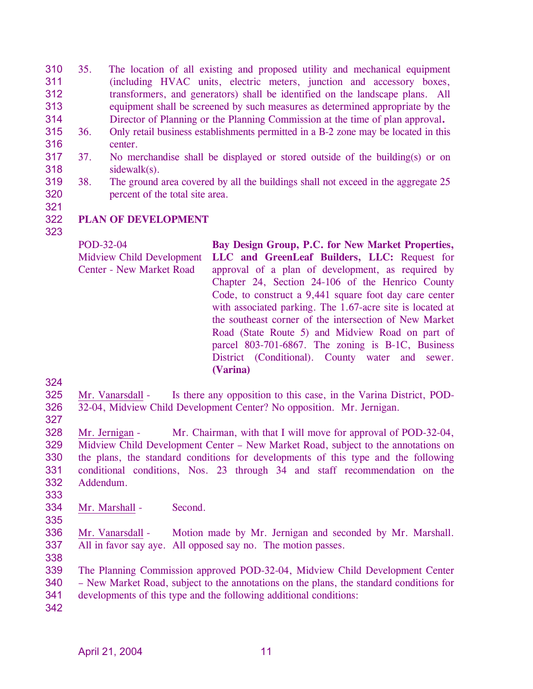- 310 311 312 313 314 35. The location of all existing and proposed utility and mechanical equipment (including HVAC units, electric meters, junction and accessory boxes, transformers, and generators) shall be identified on the landscape plans. All equipment shall be screened by such measures as determined appropriate by the Director of Planning or the Planning Commission at the time of plan approval**.**
- 315 316 36. Only retail business establishments permitted in a B-2 zone may be located in this center.
- 317 318 37. No merchandise shall be displayed or stored outside of the building(s) or on sidewalk(s).
- 319 320 38. The ground area covered by all the buildings shall not exceed in the aggregate 25 percent of the total site area.
- 321
- 322 **PLAN OF DEVELOPMENT**
- 323

POD-32-04 Midview Child Development Center - New Market Road **Bay Design Group, P.C. for New Market Properties, LLC and GreenLeaf Builders, LLC:** Request for approval of a plan of development, as required by Chapter 24, Section 24-106 of the Henrico County Code, to construct a 9,441 square foot day care center with associated parking. The 1.67-acre site is located at the southeast corner of the intersection of New Market Road (State Route 5) and Midview Road on part of parcel 803-701-6867. The zoning is B-1C, Business District (Conditional). County water and sewer. **(Varina)** 

324

325 326 Mr. Vanarsdall - Is there any opposition to this case, in the Varina District, POD-32-04, Midview Child Development Center? No opposition. Mr. Jernigan.

327

328 329 330 331 332 Mr. Jernigan - Mr. Chairman, with that I will move for approval of POD-32-04, Midview Child Development Center – New Market Road, subject to the annotations on the plans, the standard conditions for developments of this type and the following conditional conditions, Nos. 23 through 34 and staff recommendation on the Addendum.

- 334 Mr. Marshall - Second.
- 335

333

336 337 Mr. Vanarsdall - Motion made by Mr. Jernigan and seconded by Mr. Marshall. All in favor say aye. All opposed say no. The motion passes.

338

339 340 341 The Planning Commission approved POD-32-04, Midview Child Development Center – New Market Road, subject to the annotations on the plans, the standard conditions for developments of this type and the following additional conditions: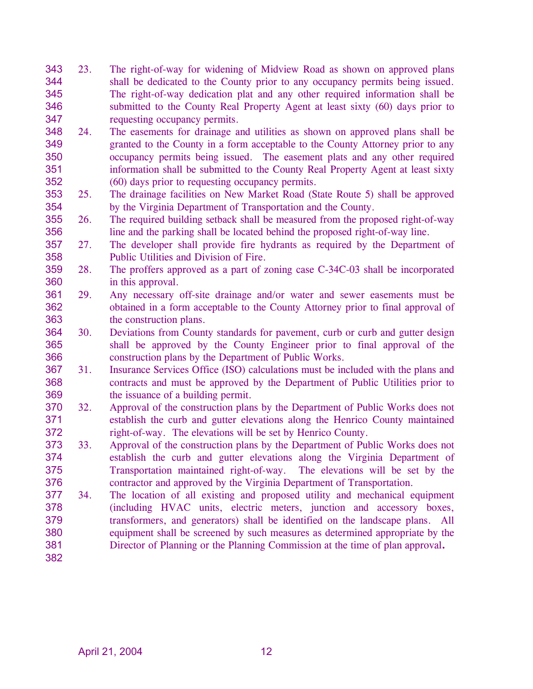- 343 344 345 346 347 23. The right-of-way for widening of Midview Road as shown on approved plans shall be dedicated to the County prior to any occupancy permits being issued. The right-of-way dedication plat and any other required information shall be submitted to the County Real Property Agent at least sixty (60) days prior to requesting occupancy permits.
- 348 349 350 351 352 24. The easements for drainage and utilities as shown on approved plans shall be granted to the County in a form acceptable to the County Attorney prior to any occupancy permits being issued. The easement plats and any other required information shall be submitted to the County Real Property Agent at least sixty (60) days prior to requesting occupancy permits.
- 353 354 25. The drainage facilities on New Market Road (State Route 5) shall be approved by the Virginia Department of Transportation and the County.
- 355 356 26. The required building setback shall be measured from the proposed right-of-way line and the parking shall be located behind the proposed right-of-way line.
- 357 358 27. The developer shall provide fire hydrants as required by the Department of Public Utilities and Division of Fire.
- 359 360 28. The proffers approved as a part of zoning case C-34C-03 shall be incorporated in this approval.
- 361 362 363 29. Any necessary off-site drainage and/or water and sewer easements must be obtained in a form acceptable to the County Attorney prior to final approval of the construction plans.
- 364 365 366 30. Deviations from County standards for pavement, curb or curb and gutter design shall be approved by the County Engineer prior to final approval of the construction plans by the Department of Public Works.
- 367 368 369 31. Insurance Services Office (ISO) calculations must be included with the plans and contracts and must be approved by the Department of Public Utilities prior to the issuance of a building permit.
- 370 371 372 32. Approval of the construction plans by the Department of Public Works does not establish the curb and gutter elevations along the Henrico County maintained right-of-way. The elevations will be set by Henrico County.
- 373 374 375 376 33. Approval of the construction plans by the Department of Public Works does not establish the curb and gutter elevations along the Virginia Department of Transportation maintained right-of-way. The elevations will be set by the contractor and approved by the Virginia Department of Transportation.
- 377 378 379 380 381 382 34. The location of all existing and proposed utility and mechanical equipment (including HVAC units, electric meters, junction and accessory boxes, transformers, and generators) shall be identified on the landscape plans. All equipment shall be screened by such measures as determined appropriate by the Director of Planning or the Planning Commission at the time of plan approval**.**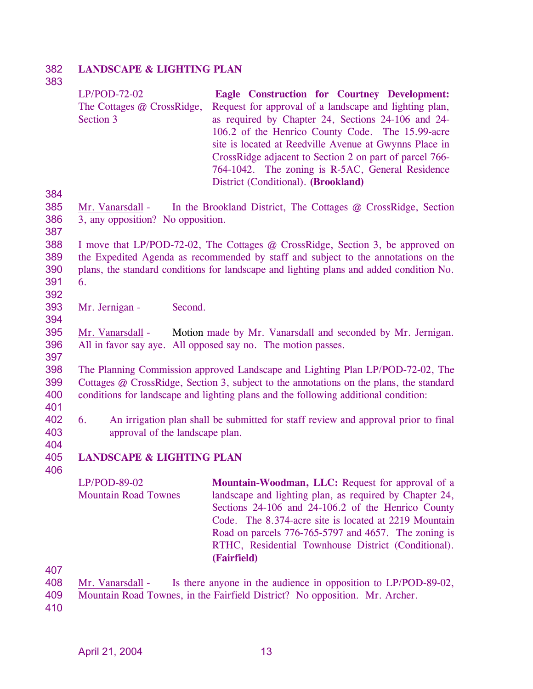#### 382 **LANDSCAPE & LIGHTING PLAN**

### 383 384 LP/POD-72-02 The Cottages @ CrossRidge, Section 3 **Eagle Construction for Courtney Development:**  Request for approval of a landscape and lighting plan, as required by Chapter 24, Sections 24-106 and 24- 106.2 of the Henrico County Code. The 15.99-acre site is located at Reedville Avenue at Gwynns Place in CrossRidge adjacent to Section 2 on part of parcel 766- 764-1042. The zoning is R-5AC, General Residence District (Conditional). **(Brookland)**  385 386 387 388 389 390 391 392 Mr. Vanarsdall - In the Brookland District, The Cottages @ CrossRidge, Section 3, any opposition? No opposition. I move that LP/POD-72-02, The Cottages @ CrossRidge, Section 3, be approved on the Expedited Agenda as recommended by staff and subject to the annotations on the plans, the standard conditions for landscape and lighting plans and added condition No. 6. 393 394 Mr. Jernigan - Second.

395 396 Mr. Vanarsdall - Motion made by Mr. Vanarsdall and seconded by Mr. Jernigan. All in favor say aye. All opposed say no. The motion passes.

398 399 400 The Planning Commission approved Landscape and Lighting Plan LP/POD-72-02, The Cottages @ CrossRidge, Section 3, subject to the annotations on the plans, the standard conditions for landscape and lighting plans and the following additional condition:

401

397

402 403 6. An irrigation plan shall be submitted for staff review and approval prior to final approval of the landscape plan.

404

406

#### 405 **LANDSCAPE & LIGHTING PLAN**

LP/POD-89-02 Mountain Road Townes **Mountain-Woodman, LLC:** Request for approval of a landscape and lighting plan, as required by Chapter 24, Sections 24-106 and 24-106.2 of the Henrico County Code. The 8.374-acre site is located at 2219 Mountain Road on parcels 776-765-5797 and 4657. The zoning is RTHC, Residential Townhouse District (Conditional). **(Fairfield)** 

407

409 Mountain Road Townes, in the Fairfield District? No opposition. Mr. Archer.

<sup>408</sup>  Mr. Vanarsdall - Is there anyone in the audience in opposition to LP/POD-89-02,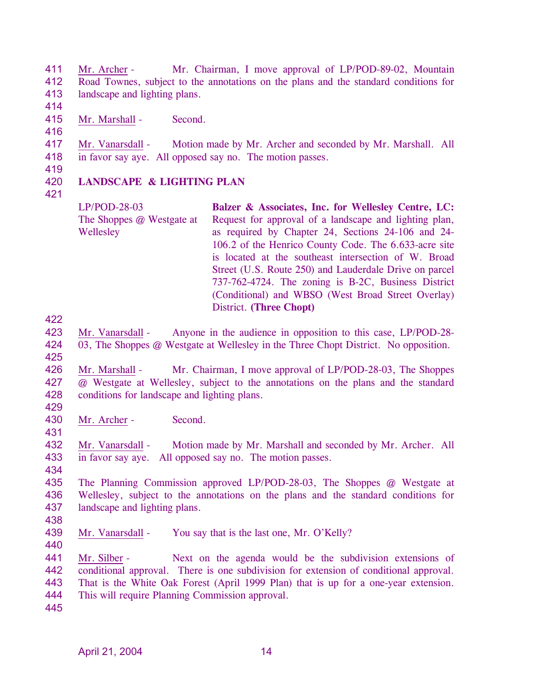411 412 413 Mr. Archer - Mr. Chairman, I move approval of LP/POD-89-02, Mountain Road Townes, subject to the annotations on the plans and the standard conditions for landscape and lighting plans.

414

415 Mr. Marshall - Second.

416

417 418 Mr. Vanarsdall - Motion made by Mr. Archer and seconded by Mr. Marshall. All in favor say aye. All opposed say no. The motion passes.

- 420 **LANDSCAPE & LIGHTING PLAN**
- 421

419

| LP/POD-28-03              | Balzer & Associates, Inc. for Wellesley Centre, LC:    |
|---------------------------|--------------------------------------------------------|
| The Shoppes @ Westgate at | Request for approval of a landscape and lighting plan, |
| Wellesley                 | as required by Chapter 24, Sections 24-106 and 24-     |
|                           | 106.2 of the Henrico County Code. The 6.633-acre site  |
|                           | is located at the southeast intersection of W. Broad   |
|                           | Street (U.S. Route 250) and Lauderdale Drive on parcel |
|                           | 737-762-4724. The zoning is B-2C, Business District    |
|                           | (Conditional) and WBSO (West Broad Street Overlay)     |
|                           | <b>District.</b> (Three Chopt)                         |

422

423 424 Mr. Vanarsdall - Anyone in the audience in opposition to this case, LP/POD-28- 03, The Shoppes @ Westgate at Wellesley in the Three Chopt District. No opposition.

425

426 427 428 Mr. Marshall - Mr. Chairman, I move approval of LP/POD-28-03, The Shoppes @ Westgate at Wellesley, subject to the annotations on the plans and the standard conditions for landscape and lighting plans.

429

430 431 Mr. Archer - Second.

432 433 Mr. Vanarsdall - Motion made by Mr. Marshall and seconded by Mr. Archer. All in favor say aye. All opposed say no. The motion passes.

435 436 437 The Planning Commission approved LP/POD-28-03, The Shoppes @ Westgate at Wellesley, subject to the annotations on the plans and the standard conditions for landscape and lighting plans.

438

440

434

439 Mr. Vanarsdall - You say that is the last one, Mr. O'Kelly?

441 442 443 444 Mr. Silber - Next on the agenda would be the subdivision extensions of conditional approval. There is one subdivision for extension of conditional approval. That is the White Oak Forest (April 1999 Plan) that is up for a one-year extension. This will require Planning Commission approval.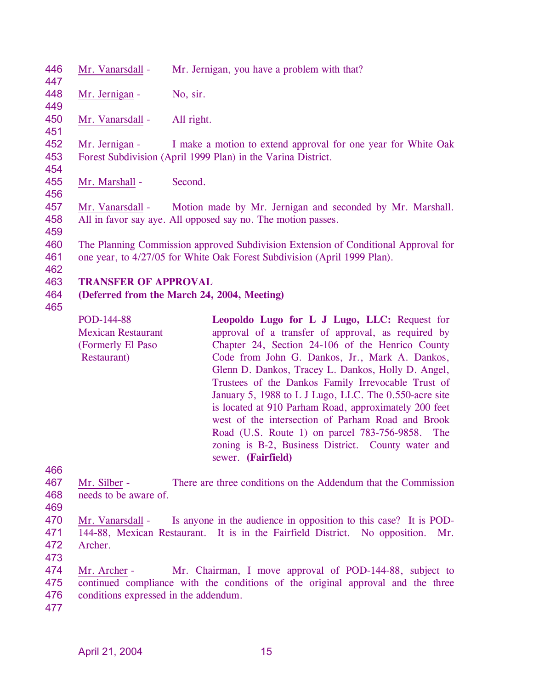446 447 Mr. Vanarsdall - Mr. Jernigan, you have a problem with that? 448 449 Mr. Jernigan - No, sir. 450 451 Mr. Vanarsdall - All right. 452 453 454 Mr. Jernigan - I make a motion to extend approval for one year for White Oak Forest Subdivision (April 1999 Plan) in the Varina District. 455 456 Mr. Marshall - Second. 457 458 459 460 461 462 463 464 465 Mr. Vanarsdall - Motion made by Mr. Jernigan and seconded by Mr. Marshall. All in favor say aye. All opposed say no. The motion passes. The Planning Commission approved Subdivision Extension of Conditional Approval for one year, to 4/27/05 for White Oak Forest Subdivision (April 1999 Plan). **TRANSFER OF APPROVAL (Deferred from the March 24, 2004, Meeting)**  POD-144-88 Mexican Restaurant (Formerly El Paso Restaurant) **Leopoldo Lugo for L J Lugo, LLC:** Request for approval of a transfer of approval, as required by Chapter 24, Section 24-106 of the Henrico County Code from John G. Dankos, Jr., Mark A. Dankos, Glenn D. Dankos, Tracey L. Dankos, Holly D. Angel, Trustees of the Dankos Family Irrevocable Trust of January 5, 1988 to L J Lugo, LLC. The 0.550-acre site is located at 910 Parham Road, approximately 200 feet west of the intersection of Parham Road and Brook Road (U.S. Route 1) on parcel 783-756-9858. The zoning is B-2, Business District. County water and

466

467 468 Mr. Silber - There are three conditions on the Addendum that the Commission needs to be aware of.

sewer. **(Fairfield)** 

469

470 471 472 Mr. Vanarsdall - Is anyone in the audience in opposition to this case? It is POD-144-88, Mexican Restaurant. It is in the Fairfield District. No opposition. Mr. Archer.

473

474 475 476 Mr. Archer - Mr. Chairman, I move approval of POD-144-88, subject to continued compliance with the conditions of the original approval and the three conditions expressed in the addendum.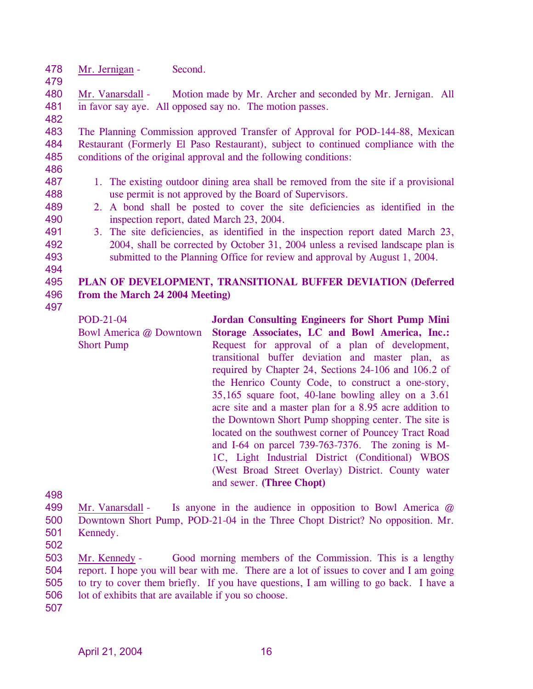478 Mr. Jernigan - Second.

480 481 Mr. Vanarsdall - Motion made by Mr. Archer and seconded by Mr. Jernigan. All in favor say aye. All opposed say no. The motion passes.

482

479

483 484 485 The Planning Commission approved Transfer of Approval for POD-144-88, Mexican Restaurant (Formerly El Paso Restaurant), subject to continued compliance with the conditions of the original approval and the following conditions:

486 487

- 488 1. The existing outdoor dining area shall be removed from the site if a provisional use permit is not approved by the Board of Supervisors.
	- 2. A bond shall be posted to cover the site deficiencies as identified in the inspection report, dated March 23, 2004.
	- 3. The site deficiencies, as identified in the inspection report dated March 23, 2004, shall be corrected by October 31, 2004 unless a revised landscape plan is submitted to the Planning Office for review and approval by August 1, 2004.
- 495 496 **PLAN OF DEVELOPMENT, TRANSITIONAL BUFFER DEVIATION (Deferred from the March 24 2004 Meeting)**
- 497

POD-21-04 Bowl America @ Downtown Short Pump **Jordan Consulting Engineers for Short Pump Mini Storage Associates, LC and Bowl America, Inc.:**  Request for approval of a plan of development, transitional buffer deviation and master plan, as required by Chapter 24, Sections 24-106 and 106.2 of the Henrico County Code, to construct a one-story, 35,165 square foot, 40-lane bowling alley on a 3.61 acre site and a master plan for a 8.95 acre addition to the Downtown Short Pump shopping center. The site is located on the southwest corner of Pouncey Tract Road and I-64 on parcel 739-763-7376. The zoning is M-1C, Light Industrial District (Conditional) WBOS (West Broad Street Overlay) District. County water and sewer. **(Three Chopt)** 

498

499 500 501 Mr. Vanarsdall - Is anyone in the audience in opposition to Bowl America  $\omega$ Downtown Short Pump, POD-21-04 in the Three Chopt District? No opposition. Mr. Kennedy.

502

503 504 505 506 Mr. Kennedy - Good morning members of the Commission. This is a lengthy report. I hope you will bear with me. There are a lot of issues to cover and I am going to try to cover them briefly. If you have questions, I am willing to go back. I have a lot of exhibits that are available if you so choose.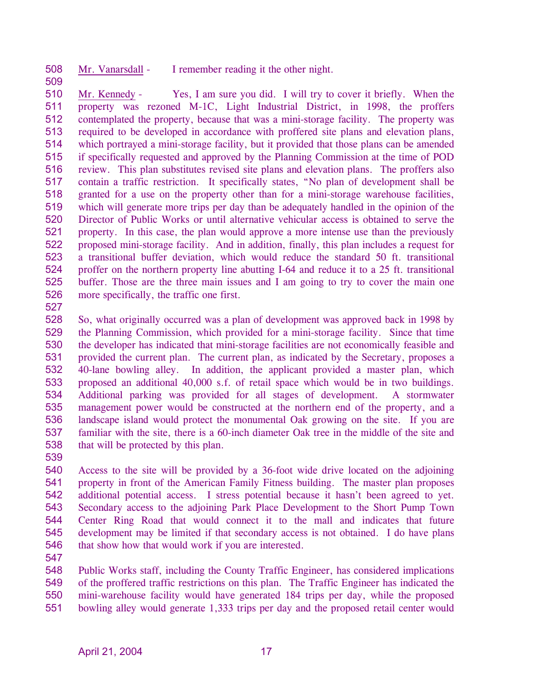508 Mr. Vanarsdall - I remember reading it the other night.

510 511 512 513 514 515 516 517 518 519 520 521 522 523 524 525 526 Mr. Kennedy - Yes, I am sure you did. I will try to cover it briefly. When the property was rezoned M-1C, Light Industrial District, in 1998, the proffers contemplated the property, because that was a mini-storage facility. The property was required to be developed in accordance with proffered site plans and elevation plans, which portrayed a mini-storage facility, but it provided that those plans can be amended if specifically requested and approved by the Planning Commission at the time of POD review. This plan substitutes revised site plans and elevation plans. The proffers also contain a traffic restriction. It specifically states, "No plan of development shall be granted for a use on the property other than for a mini-storage warehouse facilities, which will generate more trips per day than be adequately handled in the opinion of the Director of Public Works or until alternative vehicular access is obtained to serve the property. In this case, the plan would approve a more intense use than the previously proposed mini-storage facility. And in addition, finally, this plan includes a request for a transitional buffer deviation, which would reduce the standard 50 ft. transitional proffer on the northern property line abutting I-64 and reduce it to a 25 ft. transitional buffer. Those are the three main issues and I am going to try to cover the main one more specifically, the traffic one first.

527

509

528 529 530 531 532 533 534 535 536 537 538 So, what originally occurred was a plan of development was approved back in 1998 by the Planning Commission, which provided for a mini-storage facility. Since that time the developer has indicated that mini-storage facilities are not economically feasible and provided the current plan. The current plan, as indicated by the Secretary, proposes a 40-lane bowling alley. In addition, the applicant provided a master plan, which proposed an additional 40,000 s.f. of retail space which would be in two buildings. Additional parking was provided for all stages of development. A stormwater management power would be constructed at the northern end of the property, and a landscape island would protect the monumental Oak growing on the site. If you are familiar with the site, there is a 60-inch diameter Oak tree in the middle of the site and that will be protected by this plan.

539

540 541 542 543 544 545 546 Access to the site will be provided by a 36-foot wide drive located on the adjoining property in front of the American Family Fitness building. The master plan proposes additional potential access. I stress potential because it hasn't been agreed to yet. Secondary access to the adjoining Park Place Development to the Short Pump Town Center Ring Road that would connect it to the mall and indicates that future development may be limited if that secondary access is not obtained. I do have plans that show how that would work if you are interested.

547

548 549 550 551 Public Works staff, including the County Traffic Engineer, has considered implications of the proffered traffic restrictions on this plan. The Traffic Engineer has indicated the mini-warehouse facility would have generated 184 trips per day, while the proposed bowling alley would generate 1,333 trips per day and the proposed retail center would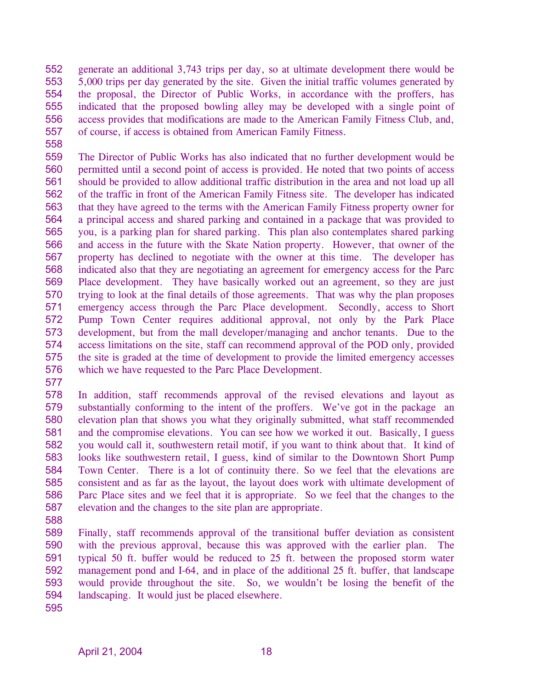552 553 554 555 556 557 generate an additional 3,743 trips per day, so at ultimate development there would be 5,000 trips per day generated by the site. Given the initial traffic volumes generated by the proposal, the Director of Public Works, in accordance with the proffers, has indicated that the proposed bowling alley may be developed with a single point of access provides that modifications are made to the American Family Fitness Club, and, of course, if access is obtained from American Family Fitness.

558

559 560 561 562 563 564 565 566 567 568 569 570 571 572 573 574 575 576 The Director of Public Works has also indicated that no further development would be permitted until a second point of access is provided. He noted that two points of access should be provided to allow additional traffic distribution in the area and not load up all of the traffic in front of the American Family Fitness site. The developer has indicated that they have agreed to the terms with the American Family Fitness property owner for a principal access and shared parking and contained in a package that was provided to you, is a parking plan for shared parking. This plan also contemplates shared parking and access in the future with the Skate Nation property. However, that owner of the property has declined to negotiate with the owner at this time. The developer has indicated also that they are negotiating an agreement for emergency access for the Parc Place development. They have basically worked out an agreement, so they are just trying to look at the final details of those agreements. That was why the plan proposes emergency access through the Parc Place development. Secondly, access to Short Pump Town Center requires additional approval, not only by the Park Place development, but from the mall developer/managing and anchor tenants. Due to the access limitations on the site, staff can recommend approval of the POD only, provided the site is graded at the time of development to provide the limited emergency accesses which we have requested to the Parc Place Development.

577

578 579 580 581 582 583 584 585 586 587 In addition, staff recommends approval of the revised elevations and layout as substantially conforming to the intent of the proffers. We've got in the package an elevation plan that shows you what they originally submitted, what staff recommended and the compromise elevations. You can see how we worked it out. Basically, I guess you would call it, southwestern retail motif, if you want to think about that. It kind of looks like southwestern retail, I guess, kind of similar to the Downtown Short Pump Town Center. There is a lot of continuity there. So we feel that the elevations are consistent and as far as the layout, the layout does work with ultimate development of Parc Place sites and we feel that it is appropriate. So we feel that the changes to the elevation and the changes to the site plan are appropriate.

588

589 590 591 592 593 594 595 Finally, staff recommends approval of the transitional buffer deviation as consistent with the previous approval, because this was approved with the earlier plan. The typical 50 ft. buffer would be reduced to 25 ft. between the proposed storm water management pond and I-64, and in place of the additional 25 ft. buffer, that landscape would provide throughout the site. So, we wouldn't be losing the benefit of the landscaping. It would just be placed elsewhere.

April 21, 2004 18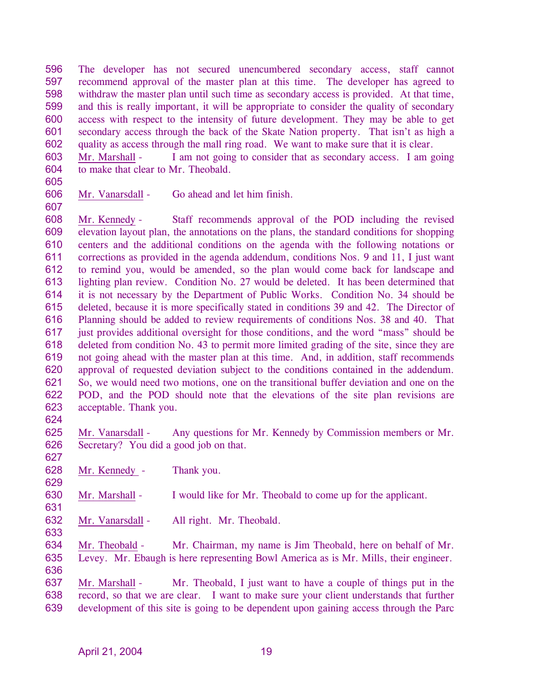596 597 598 599 600 601 602 The developer has not secured unencumbered secondary access, staff cannot recommend approval of the master plan at this time. The developer has agreed to withdraw the master plan until such time as secondary access is provided. At that time, and this is really important, it will be appropriate to consider the quality of secondary access with respect to the intensity of future development. They may be able to get secondary access through the back of the Skate Nation property. That isn't as high a quality as access through the mall ring road. We want to make sure that it is clear.

603 604 Mr. Marshall - I am not going to consider that as secondary access. I am going to make that clear to Mr. Theobald.

605

607

606 Mr. Vanarsdall - Go ahead and let him finish.

608 609 610 611 612 613 614 615 616 617 618 619 620 621 622 623 Mr. Kennedy - Staff recommends approval of the POD including the revised elevation layout plan, the annotations on the plans, the standard conditions for shopping centers and the additional conditions on the agenda with the following notations or corrections as provided in the agenda addendum, conditions Nos. 9 and 11, I just want to remind you, would be amended, so the plan would come back for landscape and lighting plan review. Condition No. 27 would be deleted. It has been determined that it is not necessary by the Department of Public Works. Condition No. 34 should be deleted, because it is more specifically stated in conditions 39 and 42. The Director of Planning should be added to review requirements of conditions Nos. 38 and 40. That just provides additional oversight for those conditions, and the word "mass" should be deleted from condition No. 43 to permit more limited grading of the site, since they are not going ahead with the master plan at this time. And, in addition, staff recommends approval of requested deviation subject to the conditions contained in the addendum. So, we would need two motions, one on the transitional buffer deviation and one on the POD, and the POD should note that the elevations of the site plan revisions are acceptable. Thank you.

624

627

629

631

625 626 Mr. Vanarsdall - Any questions for Mr. Kennedy by Commission members or Mr. Secretary? You did a good job on that.

628 Mr. Kennedy - Thank you.

630 Mr. Marshall - I would like for Mr. Theobald to come up for the applicant.

- 632 Mr. Vanarsdall - All right. Mr. Theobald.
- 633

634 635 Mr. Theobald - Mr. Chairman, my name is Jim Theobald, here on behalf of Mr. Levey. Mr. Ebaugh is here representing Bowl America as is Mr. Mills, their engineer.

636

Mr. Marshall - Mr. Theobald, I just want to have a couple of things put in the record, so that we are clear. I want to make sure your client understands that further development of this site is going to be dependent upon gaining access through the Parc 637 638 639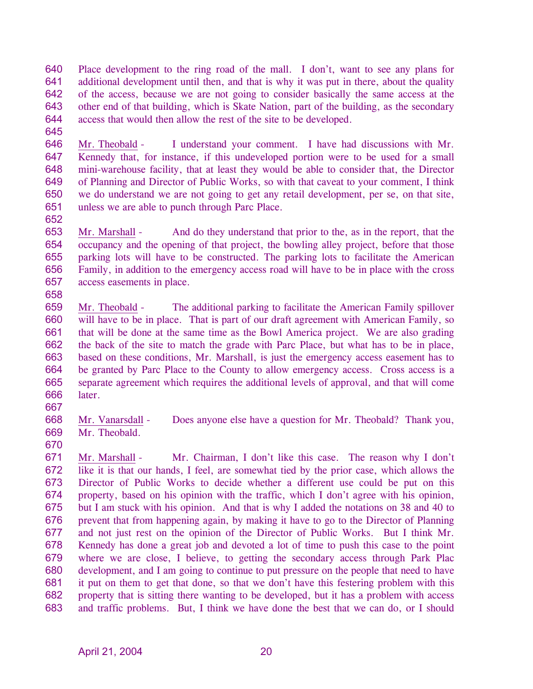640 641 642 643 644 Place development to the ring road of the mall. I don't, want to see any plans for additional development until then, and that is why it was put in there, about the quality of the access, because we are not going to consider basically the same access at the other end of that building, which is Skate Nation, part of the building, as the secondary access that would then allow the rest of the site to be developed.

645

646 647 648 649 650 651 Mr. Theobald - I understand your comment. I have had discussions with Mr. Kennedy that, for instance, if this undeveloped portion were to be used for a small mini-warehouse facility, that at least they would be able to consider that, the Director of Planning and Director of Public Works, so with that caveat to your comment, I think we do understand we are not going to get any retail development, per se, on that site, unless we are able to punch through Parc Place.

652

653 654 655 656 657 658 Mr. Marshall - And do they understand that prior to the, as in the report, that the occupancy and the opening of that project, the bowling alley project, before that those parking lots will have to be constructed. The parking lots to facilitate the American Family, in addition to the emergency access road will have to be in place with the cross access easements in place.

659 660 661 662 663 664 665 666 Mr. Theobald - The additional parking to facilitate the American Family spillover will have to be in place. That is part of our draft agreement with American Family, so that will be done at the same time as the Bowl America project. We are also grading the back of the site to match the grade with Parc Place, but what has to be in place, based on these conditions, Mr. Marshall, is just the emergency access easement has to be granted by Parc Place to the County to allow emergency access. Cross access is a separate agreement which requires the additional levels of approval, and that will come later.

667

668 669 Mr. Vanarsdall - Does anyone else have a question for Mr. Theobald? Thank you, Mr. Theobald.

670

Mr. Marshall - Mr. Chairman, I don't like this case. The reason why I don't like it is that our hands, I feel, are somewhat tied by the prior case, which allows the Director of Public Works to decide whether a different use could be put on this property, based on his opinion with the traffic, which I don't agree with his opinion, but I am stuck with his opinion. And that is why I added the notations on 38 and 40 to prevent that from happening again, by making it have to go to the Director of Planning and not just rest on the opinion of the Director of Public Works. But I think Mr. Kennedy has done a great job and devoted a lot of time to push this case to the point where we are close, I believe, to getting the secondary access through Park Plac development, and I am going to continue to put pressure on the people that need to have it put on them to get that done, so that we don't have this festering problem with this property that is sitting there wanting to be developed, but it has a problem with access and traffic problems. But, I think we have done the best that we can do, or I should 671 672 673 674 675 676 677 678 679 680 681 682 683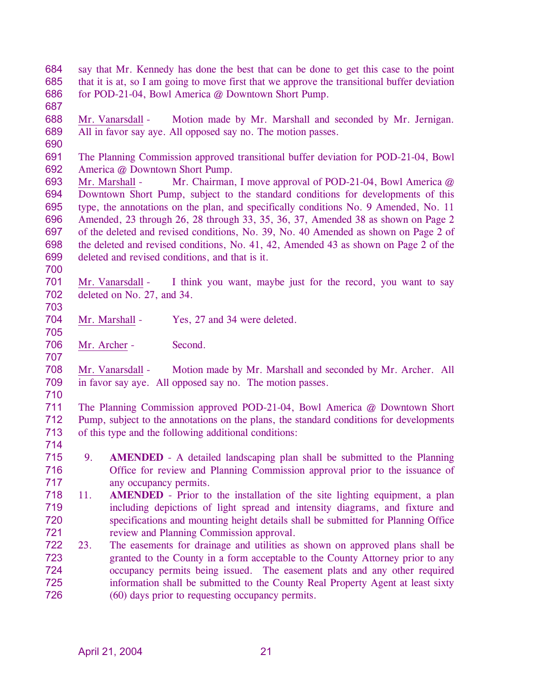684 685 686 say that Mr. Kennedy has done the best that can be done to get this case to the point that it is at, so I am going to move first that we approve the transitional buffer deviation for POD-21-04, Bowl America @ Downtown Short Pump.

687

688 689 Mr. Vanarsdall - Motion made by Mr. Marshall and seconded by Mr. Jernigan. All in favor say aye. All opposed say no. The motion passes.

690

691 692 The Planning Commission approved transitional buffer deviation for POD-21-04, Bowl America @ Downtown Short Pump.

693 694 695 696 697 698 699 Mr. Marshall - Mr. Chairman, I move approval of POD-21-04, Bowl America @ Downtown Short Pump, subject to the standard conditions for developments of this type, the annotations on the plan, and specifically conditions No. 9 Amended, No. 11 Amended, 23 through 26, 28 through 33, 35, 36, 37, Amended 38 as shown on Page 2 of the deleted and revised conditions, No. 39, No. 40 Amended as shown on Page 2 of the deleted and revised conditions, No. 41, 42, Amended 43 as shown on Page 2 of the deleted and revised conditions, and that is it.

700

705

707

701 702 703 Mr. Vanarsdall - I think you want, maybe just for the record, you want to say deleted on No. 27, and 34.

- 704 Mr. Marshall - Yes, 27 and 34 were deleted.
- 706 Mr. Archer - Second.

708 709 Mr. Vanarsdall - Motion made by Mr. Marshall and seconded by Mr. Archer. All in favor say aye. All opposed say no. The motion passes.

710

711 712 713 The Planning Commission approved POD-21-04, Bowl America @ Downtown Short Pump, subject to the annotations on the plans, the standard conditions for developments of this type and the following additional conditions:

- 714
- 715 716 717 9. **AMENDED** - A detailed landscaping plan shall be submitted to the Planning Office for review and Planning Commission approval prior to the issuance of any occupancy permits.
- 718 719 720 721 11. **AMENDED** - Prior to the installation of the site lighting equipment, a plan including depictions of light spread and intensity diagrams, and fixture and specifications and mounting height details shall be submitted for Planning Office review and Planning Commission approval.
- 722 723 724 725 726 23. The easements for drainage and utilities as shown on approved plans shall be granted to the County in a form acceptable to the County Attorney prior to any occupancy permits being issued. The easement plats and any other required information shall be submitted to the County Real Property Agent at least sixty (60) days prior to requesting occupancy permits.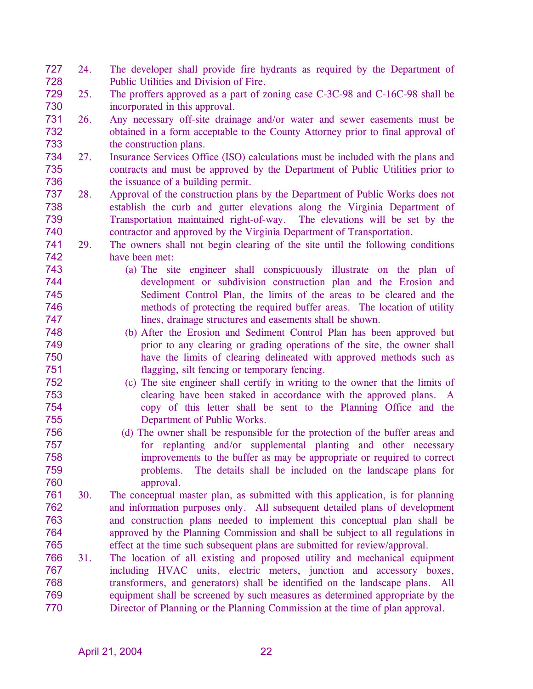- 727 728 24. The developer shall provide fire hydrants as required by the Department of Public Utilities and Division of Fire.
- 729 730 25. The proffers approved as a part of zoning case C-3C-98 and C-16C-98 shall be incorporated in this approval.
- 731 732 733 26. Any necessary off-site drainage and/or water and sewer easements must be obtained in a form acceptable to the County Attorney prior to final approval of the construction plans.
- 734 735 736 27. Insurance Services Office (ISO) calculations must be included with the plans and contracts and must be approved by the Department of Public Utilities prior to the issuance of a building permit.
- 737 738 739 740 28. Approval of the construction plans by the Department of Public Works does not establish the curb and gutter elevations along the Virginia Department of Transportation maintained right-of-way. The elevations will be set by the contractor and approved by the Virginia Department of Transportation.
- 741 742 29. The owners shall not begin clearing of the site until the following conditions have been met:
	- (a) The site engineer shall conspicuously illustrate on the plan of development or subdivision construction plan and the Erosion and Sediment Control Plan, the limits of the areas to be cleared and the methods of protecting the required buffer areas. The location of utility lines, drainage structures and easements shall be shown.
	- (b) After the Erosion and Sediment Control Plan has been approved but prior to any clearing or grading operations of the site, the owner shall have the limits of clearing delineated with approved methods such as flagging, silt fencing or temporary fencing.
- 752 753 754 755 (c) The site engineer shall certify in writing to the owner that the limits of clearing have been staked in accordance with the approved plans. A copy of this letter shall be sent to the Planning Office and the Department of Public Works.
- 756 757 758 759 760 (d) The owner shall be responsible for the protection of the buffer areas and for replanting and/or supplemental planting and other necessary improvements to the buffer as may be appropriate or required to correct problems. The details shall be included on the landscape plans for approval.
- 761 762 763 764 765 30. The conceptual master plan, as submitted with this application, is for planning and information purposes only. All subsequent detailed plans of development and construction plans needed to implement this conceptual plan shall be approved by the Planning Commission and shall be subject to all regulations in effect at the time such subsequent plans are submitted for review/approval.
- 766 767 768 769 770 31. The location of all existing and proposed utility and mechanical equipment including HVAC units, electric meters, junction and accessory boxes, transformers, and generators) shall be identified on the landscape plans. All equipment shall be screened by such measures as determined appropriate by the Director of Planning or the Planning Commission at the time of plan approval.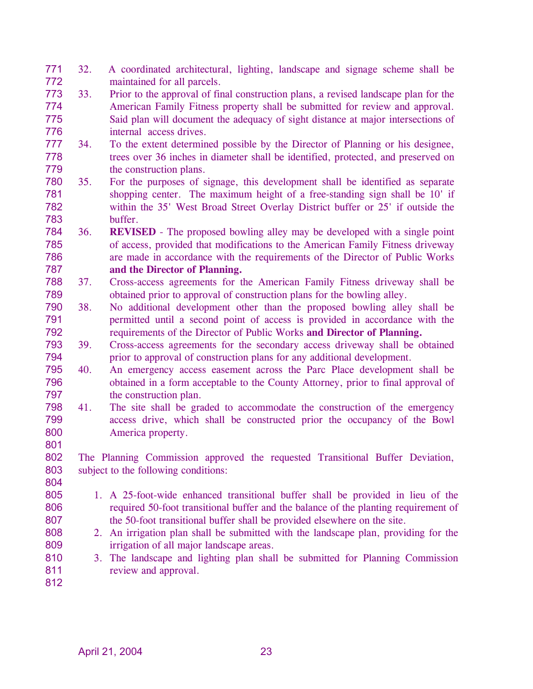- 771 772 32. A coordinated architectural, lighting, landscape and signage scheme shall be maintained for all parcels.
- 773 774 775 776 33. Prior to the approval of final construction plans, a revised landscape plan for the American Family Fitness property shall be submitted for review and approval. Said plan will document the adequacy of sight distance at major intersections of internal access drives.
- 777 778 779 34. To the extent determined possible by the Director of Planning or his designee, trees over 36 inches in diameter shall be identified, protected, and preserved on the construction plans.
- 780 781 782 783 35. For the purposes of signage, this development shall be identified as separate shopping center. The maximum height of a free-standing sign shall be 10' if within the 35' West Broad Street Overlay District buffer or 25' if outside the buffer.
- 784 785 786 787 36. **REVISED** - The proposed bowling alley may be developed with a single point of access, provided that modifications to the American Family Fitness driveway are made in accordance with the requirements of the Director of Public Works **and the Director of Planning.**
- 788 789 37. Cross-access agreements for the American Family Fitness driveway shall be obtained prior to approval of construction plans for the bowling alley.
- 790 791 792 38. No additional development other than the proposed bowling alley shall be permitted until a second point of access is provided in accordance with the requirements of the Director of Public Works **and Director of Planning.**
- 793 794 39. Cross-access agreements for the secondary access driveway shall be obtained prior to approval of construction plans for any additional development.
- 795 796 797 40. An emergency access easement across the Parc Place development shall be obtained in a form acceptable to the County Attorney, prior to final approval of the construction plan.
- 798 799 800 41. The site shall be graded to accommodate the construction of the emergency access drive, which shall be constructed prior the occupancy of the Bowl America property.
- 801

802 803 804 The Planning Commission approved the requested Transitional Buffer Deviation, subject to the following conditions:

- 805 806 807 1. A 25-foot-wide enhanced transitional buffer shall be provided in lieu of the required 50-foot transitional buffer and the balance of the planting requirement of the 50-foot transitional buffer shall be provided elsewhere on the site.
	- 2. An irrigation plan shall be submitted with the landscape plan, providing for the irrigation of all major landscape areas.
- 810 811 3. The landscape and lighting plan shall be submitted for Planning Commission review and approval.

812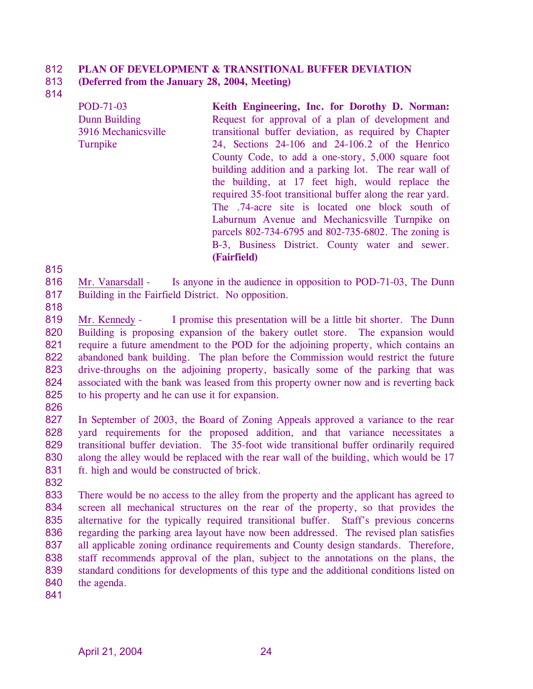#### 812 **PLAN OF DEVELOPMENT & TRANSITIONAL BUFFER DEVIATION**

#### 813 **(Deferred from the January 28, 2004, Meeting)**

814

POD-71-03 Dunn Building 3916 Mechanicsville Turnpike

**Keith Engineering, Inc. for Dorothy D. Norman:**  Request for approval of a plan of development and transitional buffer deviation, as required by Chapter 24, Sections 24-106 and 24-106.2 of the Henrico County Code, to add a one-story, 5,000 square foot building addition and a parking lot. The rear wall of the building, at 17 feet high, would replace the required 35-foot transitional buffer along the rear yard. The .74-acre site is located one block south of Laburnum Avenue and Mechanicsville Turnpike on parcels 802-734-6795 and 802-735-6802. The zoning is B-3, Business District. County water and sewer. **(Fairfield)** 

815

816 817 Mr. Vanarsdall - Is anyone in the audience in opposition to POD-71-03, The Dunn Building in the Fairfield District. No opposition.

818

819 820 821 822 823 824 825 Mr. Kennedy - I promise this presentation will be a little bit shorter. The Dunn Building is proposing expansion of the bakery outlet store. The expansion would require a future amendment to the POD for the adjoining property, which contains an abandoned bank building. The plan before the Commission would restrict the future drive-throughs on the adjoining property, basically some of the parking that was associated with the bank was leased from this property owner now and is reverting back to his property and he can use it for expansion.

826

827 828 829 830 831 In September of 2003, the Board of Zoning Appeals approved a variance to the rear yard requirements for the proposed addition, and that variance necessitates a transitional buffer deviation. The 35-foot wide transitional buffer ordinarily required along the alley would be replaced with the rear wall of the building, which would be 17 ft. high and would be constructed of brick.

832

833 834 835 836 837 838 839 840 There would be no access to the alley from the property and the applicant has agreed to screen all mechanical structures on the rear of the property, so that provides the alternative for the typically required transitional buffer. Staff's previous concerns regarding the parking area layout have now been addressed. The revised plan satisfies all applicable zoning ordinance requirements and County design standards. Therefore, staff recommends approval of the plan, subject to the annotations on the plans, the standard conditions for developments of this type and the additional conditions listed on the agenda.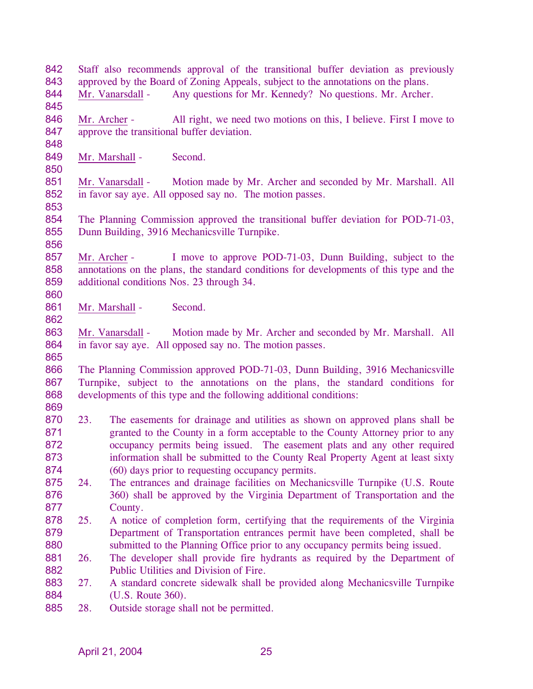842 843 Staff also recommends approval of the transitional buffer deviation as previously approved by the Board of Zoning Appeals, subject to the annotations on the plans. 844 845 Mr. Vanarsdall - Any questions for Mr. Kennedy? No questions. Mr. Archer. 846 847 848 Mr. Archer - All right, we need two motions on this, I believe. First I move to approve the transitional buffer deviation. 849 850 Mr. Marshall - Second. 851 852 853 854 855 856 Mr. Vanarsdall - Motion made by Mr. Archer and seconded by Mr. Marshall. All in favor say aye. All opposed say no. The motion passes. The Planning Commission approved the transitional buffer deviation for POD-71-03, Dunn Building, 3916 Mechanicsville Turnpike. 857 858 859 860 Mr. Archer - I move to approve POD-71-03, Dunn Building, subject to the annotations on the plans, the standard conditions for developments of this type and the additional conditions Nos. 23 through 34. 861 862 Mr. Marshall - Second. 863 864 865 866 867 868 869 870 871 872 873 874 875 876 877 878 879 880 881 882 883 884 885 Mr. Vanarsdall - Motion made by Mr. Archer and seconded by Mr. Marshall. All in favor say aye. All opposed say no. The motion passes. The Planning Commission approved POD-71-03, Dunn Building, 3916 Mechanicsville Turnpike, subject to the annotations on the plans, the standard conditions for developments of this type and the following additional conditions: 23. The easements for drainage and utilities as shown on approved plans shall be granted to the County in a form acceptable to the County Attorney prior to any occupancy permits being issued. The easement plats and any other required information shall be submitted to the County Real Property Agent at least sixty (60) days prior to requesting occupancy permits. 24. The entrances and drainage facilities on Mechanicsville Turnpike (U.S. Route 360) shall be approved by the Virginia Department of Transportation and the County. 25. A notice of completion form, certifying that the requirements of the Virginia Department of Transportation entrances permit have been completed, shall be submitted to the Planning Office prior to any occupancy permits being issued. 26. The developer shall provide fire hydrants as required by the Department of Public Utilities and Division of Fire. 27. A standard concrete sidewalk shall be provided along Mechanicsville Turnpike (U.S. Route 360). 28. Outside storage shall not be permitted.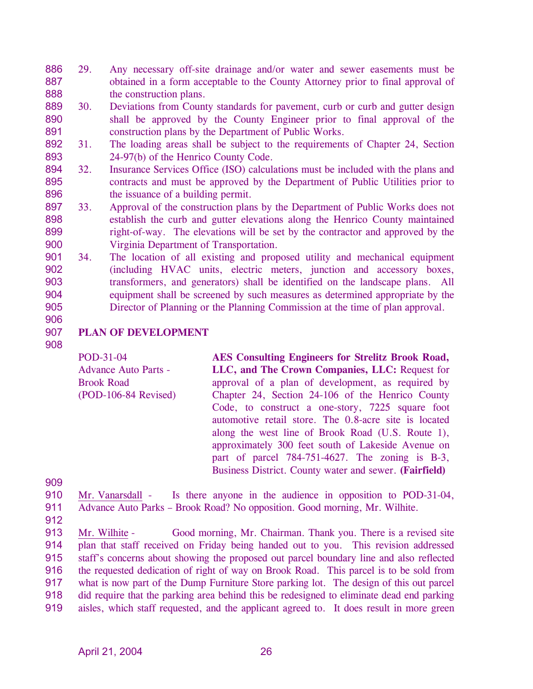- 886 887 888 29. Any necessary off-site drainage and/or water and sewer easements must be obtained in a form acceptable to the County Attorney prior to final approval of the construction plans.
- 889 890 891 30. Deviations from County standards for pavement, curb or curb and gutter design shall be approved by the County Engineer prior to final approval of the construction plans by the Department of Public Works.
- 892 893 31. The loading areas shall be subject to the requirements of Chapter 24, Section 24-97(b) of the Henrico County Code.
- 894 895 896 32. Insurance Services Office (ISO) calculations must be included with the plans and contracts and must be approved by the Department of Public Utilities prior to the issuance of a building permit.
- 897 898 899 900 33. Approval of the construction plans by the Department of Public Works does not establish the curb and gutter elevations along the Henrico County maintained right-of-way. The elevations will be set by the contractor and approved by the Virginia Department of Transportation.
- 901 902 903 904 905 34. The location of all existing and proposed utility and mechanical equipment (including HVAC units, electric meters, junction and accessory boxes, transformers, and generators) shall be identified on the landscape plans. All equipment shall be screened by such measures as determined appropriate by the Director of Planning or the Planning Commission at the time of plan approval.
- 906
- 907 **PLAN OF DEVELOPMENT**
- 908

POD-31-04 Advance Auto Parts - Brook Road (POD-106-84 Revised) **AES Consulting Engineers for Strelitz Brook Road, LLC, and The Crown Companies, LLC:** Request for approval of a plan of development, as required by Chapter 24, Section 24-106 of the Henrico County Code, to construct a one-story, 7225 square foot automotive retail store. The 0.8-acre site is located along the west line of Brook Road (U.S. Route 1), approximately 300 feet south of Lakeside Avenue on part of parcel 784-751-4627. The zoning is B-3, Business District. County water and sewer. **(Fairfield)** 

909

- 910 911 Mr. Vanarsdall - Is there anyone in the audience in opposition to POD-31-04, Advance Auto Parks – Brook Road? No opposition. Good morning, Mr. Wilhite.
- 912

Mr. Wilhite - Good morning, Mr. Chairman. Thank you. There is a revised site plan that staff received on Friday being handed out to you. This revision addressed staff's concerns about showing the proposed out parcel boundary line and also reflected the requested dedication of right of way on Brook Road. This parcel is to be sold from what is now part of the Dump Furniture Store parking lot. The design of this out parcel did require that the parking area behind this be redesigned to eliminate dead end parking aisles, which staff requested, and the applicant agreed to. It does result in more green 913 914 915 916 917 918 919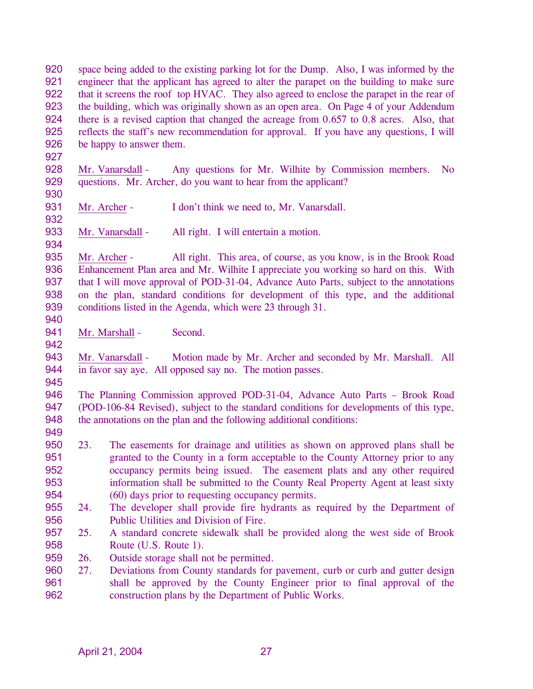920 921 922 923 924 925 926 space being added to the existing parking lot for the Dump. Also, I was informed by the engineer that the applicant has agreed to alter the parapet on the building to make sure that it screens the roof top HVAC. They also agreed to enclose the parapet in the rear of the building, which was originally shown as an open area. On Page 4 of your Addendum there is a revised caption that changed the acreage from 0.657 to 0.8 acres. Also, that reflects the staff's new recommendation for approval. If you have any questions, I will be happy to answer them.

927

932

934

928 929 930 Mr. Vanarsdall - Any questions for Mr. Wilhite by Commission members. No questions. Mr. Archer, do you want to hear from the applicant?

931 Mr. Archer - I don't think we need to, Mr. Vanarsdall.

933 Mr. Vanarsdall - All right. I will entertain a motion.

935 936 937 938 939 Mr. Archer - All right. This area, of course, as you know, is in the Brook Road Enhancement Plan area and Mr. Wilhite I appreciate you working so hard on this. With that I will move approval of POD-31-04, Advance Auto Parts, subject to the annotations on the plan, standard conditions for development of this type, and the additional conditions listed in the Agenda, which were 23 through 31.

- 940
- Mr. Marshall Second.
- 941 942

945

943 944 Mr. Vanarsdall - Motion made by Mr. Archer and seconded by Mr. Marshall. All in favor say aye. All opposed say no. The motion passes.

946 947 948 The Planning Commission approved POD-31-04, Advance Auto Parts – Brook Road (POD-106-84 Revised), subject to the standard conditions for developments of this type, the annotations on the plan and the following additional conditions:

- 949
- 950 951 952 953 954 23. The easements for drainage and utilities as shown on approved plans shall be granted to the County in a form acceptable to the County Attorney prior to any occupancy permits being issued. The easement plats and any other required information shall be submitted to the County Real Property Agent at least sixty (60) days prior to requesting occupancy permits.
- 955 956 24. The developer shall provide fire hydrants as required by the Department of Public Utilities and Division of Fire.
- 957 958 25. A standard concrete sidewalk shall be provided along the west side of Brook Route (U.S. Route 1).
- 959 26. Outside storage shall not be permitted.
- 960 961 962 27. Deviations from County standards for pavement, curb or curb and gutter design shall be approved by the County Engineer prior to final approval of the construction plans by the Department of Public Works.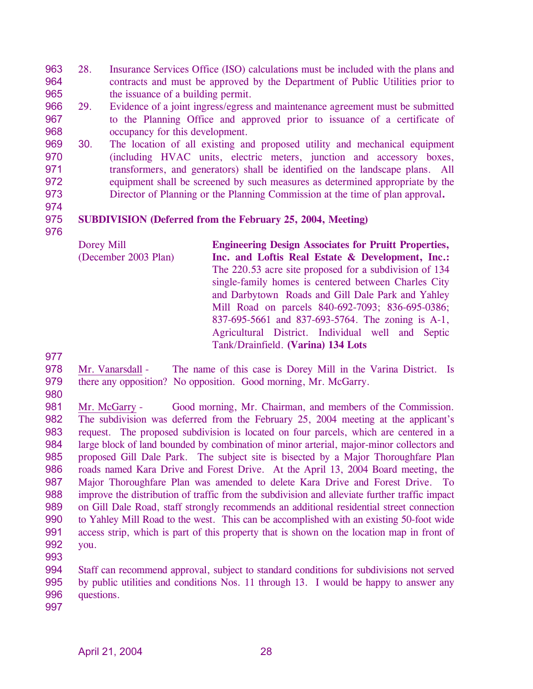963 964 965 28. Insurance Services Office (ISO) calculations must be included with the plans and contracts and must be approved by the Department of Public Utilities prior to the issuance of a building permit.

- 966 967 968 29. Evidence of a joint ingress/egress and maintenance agreement must be submitted to the Planning Office and approved prior to issuance of a certificate of occupancy for this development.
- 969 970 971 972 973 30. The location of all existing and proposed utility and mechanical equipment (including HVAC units, electric meters, junction and accessory boxes, transformers, and generators) shall be identified on the landscape plans. All equipment shall be screened by such measures as determined appropriate by the Director of Planning or the Planning Commission at the time of plan approval**.**
- 974

#### 975 **SUBDIVISION (Deferred from the February 25, 2004, Meeting)**

976

Dorey Mill (December 2003 Plan) **Engineering Design Associates for Pruitt Properties, Inc. and Loftis Real Estate & Development, Inc.:**  The 220.53 acre site proposed for a subdivision of 134 single-family homes is centered between Charles City and Darbytown Roads and Gill Dale Park and Yahley Mill Road on parcels 840-692-7093; 836-695-0386; 837-695-5661 and 837-693-5764. The zoning is A-1, Agricultural District. Individual well and Septic Tank/Drainfield. **(Varina) 134 Lots** 

977

978 979 Mr. Vanarsdall - The name of this case is Dorey Mill in the Varina District. Is there any opposition? No opposition. Good morning, Mr. McGarry.

980

981 982 983 984 985 986 987 988 989 990 991 992 Mr. McGarry - Good morning, Mr. Chairman, and members of the Commission. The subdivision was deferred from the February 25, 2004 meeting at the applicant's request. The proposed subdivision is located on four parcels, which are centered in a large block of land bounded by combination of minor arterial, major-minor collectors and proposed Gill Dale Park. The subject site is bisected by a Major Thoroughfare Plan roads named Kara Drive and Forest Drive. At the April 13, 2004 Board meeting, the Major Thoroughfare Plan was amended to delete Kara Drive and Forest Drive. To improve the distribution of traffic from the subdivision and alleviate further traffic impact on Gill Dale Road, staff strongly recommends an additional residential street connection to Yahley Mill Road to the west. This can be accomplished with an existing 50-foot wide access strip, which is part of this property that is shown on the location map in front of you.

993

994 995 996 Staff can recommend approval, subject to standard conditions for subdivisions not served by public utilities and conditions Nos. 11 through 13. I would be happy to answer any questions.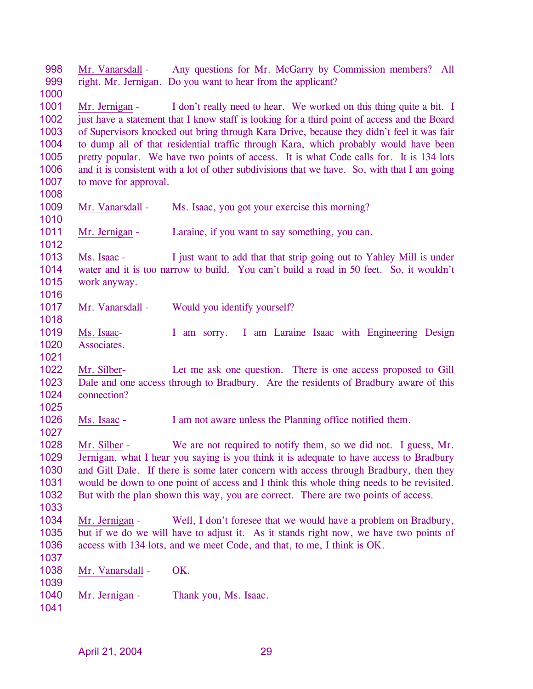998 999 1000 Mr. Vanarsdall - Any questions for Mr. McGarry by Commission members? All right, Mr. Jernigan. Do you want to hear from the applicant? 1001 1002 1003 1004 1005 1006 1007 1008 Mr. Jernigan - I don't really need to hear. We worked on this thing quite a bit. I just have a statement that I know staff is looking for a third point of access and the Board of Supervisors knocked out bring through Kara Drive, because they didn't feel it was fair to dump all of that residential traffic through Kara, which probably would have been pretty popular. We have two points of access. It is what Code calls for. It is 134 lots and it is consistent with a lot of other subdivisions that we have. So, with that I am going to move for approval. 1009 1010 Mr. Vanarsdall - Ms. Isaac, you got your exercise this morning? 1011 1012 Mr. Jernigan - Laraine, if you want to say something, you can. 1013 1014 1015 1016 Ms. Isaac - I just want to add that that strip going out to Yahley Mill is under water and it is too narrow to build. You can't build a road in 50 feet. So, it wouldn't work anyway. 1017 1018 Mr. Vanarsdall - Would you identify yourself? 1019 1020 1021 Ms. Isaac- I am sorry. I am Laraine Isaac with Engineering Design Associates. 1022 1023 1024 1025 Mr. Silber- Let me ask one question. There is one access proposed to Gill Dale and one access through to Bradbury. Are the residents of Bradbury aware of this connection? 1026 1027 Ms. Isaac - I am not aware unless the Planning office notified them. 1028 1029 1030 1031 1032 1033 Mr. Silber - We are not required to notify them, so we did not. I guess, Mr. Jernigan, what I hear you saying is you think it is adequate to have access to Bradbury and Gill Dale. If there is some later concern with access through Bradbury, then they would be down to one point of access and I think this whole thing needs to be revisited. But with the plan shown this way, you are correct. There are two points of access. 1034 1035 1036 1037 Mr. Jernigan - Well, I don't foresee that we would have a problem on Bradbury, but if we do we will have to adjust it. As it stands right now, we have two points of access with 134 lots, and we meet Code, and that, to me, I think is OK. 1038 1039 Mr. Vanarsdall - OK. 1040 1041 Mr. Jernigan - Thank you, Ms. Isaac.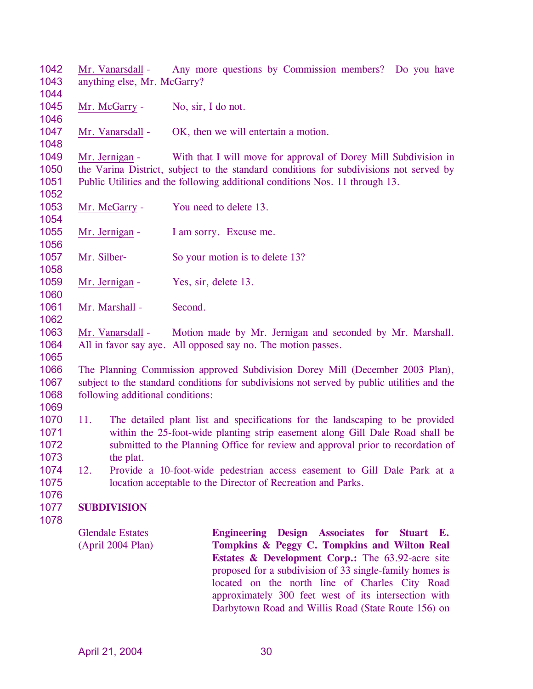1042 1043 1044 Mr. Vanarsdall - Any more questions by Commission members? Do you have anything else, Mr. McGarry?

1045 Mr. McGarry - No, sir, I do not.

1047 Mr. Vanarsdall - OK, then we will entertain a motion.

1049 1050 1051 Mr. Jernigan - With that I will move for approval of Dorey Mill Subdivision in the Varina District, subject to the standard conditions for subdivisions not served by Public Utilities and the following additional conditions Nos. 11 through 13.

- 1053 Mr. McGarry - You need to delete 13.
- 1055 Mr. Jernigan - I am sorry. Excuse me.
- 1057 Mr. Silber- So your motion is to delete 13?
- 1059 Mr. Jernigan - Yes, sir, delete 13.
- 1061 Mr. Marshall - Second.

1063 1064 Mr. Vanarsdall - Motion made by Mr. Jernigan and seconded by Mr. Marshall. All in favor say aye. All opposed say no. The motion passes.

1065

1046

1048

1052

1054

1056

1058

1060

1062

1066 1067 1068 The Planning Commission approved Subdivision Dorey Mill (December 2003 Plan), subject to the standard conditions for subdivisions not served by public utilities and the following additional conditions:

- 1069
- 1070 1071 1072 1073 11. The detailed plant list and specifications for the landscaping to be provided within the 25-foot-wide planting strip easement along Gill Dale Road shall be submitted to the Planning Office for review and approval prior to recordation of the plat.
- 1074 1075 12. Provide a 10-foot-wide pedestrian access easement to Gill Dale Park at a location acceptable to the Director of Recreation and Parks.
- 1076

#### 1077 **SUBDIVISION**

1078

Glendale Estates (April 2004 Plan) **Engineering Design Associates for Stuart E. Tompkins & Peggy C. Tompkins and Wilton Real Estates & Development Corp.:** The 63.92-acre site proposed for a subdivision of 33 single-family homes is located on the north line of Charles City Road approximately 300 feet west of its intersection with Darbytown Road and Willis Road (State Route 156) on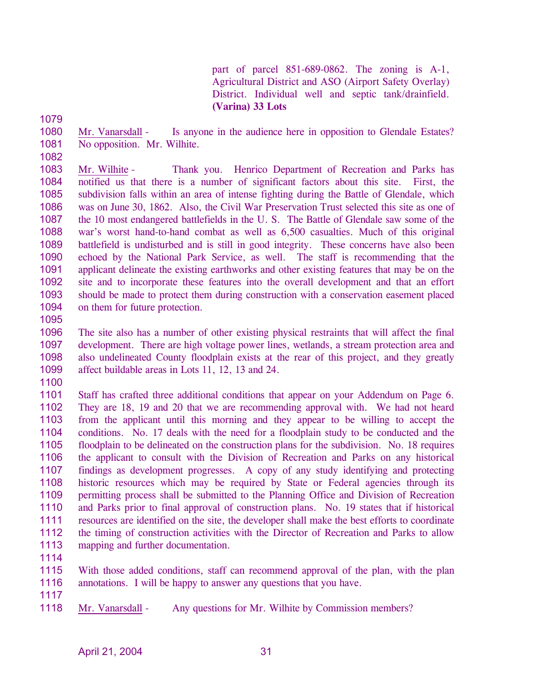part of parcel 851-689-0862. The zoning is A-1, Agricultural District and ASO (Airport Safety Overlay) District. Individual well and septic tank/drainfield. **(Varina) 33 Lots** 

1079

1082

1080 1081 Mr. Vanarsdall - Is anyone in the audience here in opposition to Glendale Estates? No opposition. Mr. Wilhite.

1083 1084 1085 1086 1087 1088 1089 1090 1091 1092 1093 1094 Mr. Wilhite - Thank you. Henrico Department of Recreation and Parks has notified us that there is a number of significant factors about this site. First, the subdivision falls within an area of intense fighting during the Battle of Glendale, which was on June 30, 1862. Also, the Civil War Preservation Trust selected this site as one of the 10 most endangered battlefields in the U. S. The Battle of Glendale saw some of the war's worst hand-to-hand combat as well as 6,500 casualties. Much of this original battlefield is undisturbed and is still in good integrity. These concerns have also been echoed by the National Park Service, as well. The staff is recommending that the applicant delineate the existing earthworks and other existing features that may be on the site and to incorporate these features into the overall development and that an effort should be made to protect them during construction with a conservation easement placed on them for future protection.

1095

1096 1097 1098 1099 The site also has a number of other existing physical restraints that will affect the final development. There are high voltage power lines, wetlands, a stream protection area and also undelineated County floodplain exists at the rear of this project, and they greatly affect buildable areas in Lots 11, 12, 13 and 24.

1100

1101 1102 1103 1104 1105 1106 1107 1108 1109 1110 1111 1112 1113 Staff has crafted three additional conditions that appear on your Addendum on Page 6. They are 18, 19 and 20 that we are recommending approval with. We had not heard from the applicant until this morning and they appear to be willing to accept the conditions. No. 17 deals with the need for a floodplain study to be conducted and the floodplain to be delineated on the construction plans for the subdivision. No. 18 requires the applicant to consult with the Division of Recreation and Parks on any historical findings as development progresses. A copy of any study identifying and protecting historic resources which may be required by State or Federal agencies through its permitting process shall be submitted to the Planning Office and Division of Recreation and Parks prior to final approval of construction plans. No. 19 states that if historical resources are identified on the site, the developer shall make the best efforts to coordinate the timing of construction activities with the Director of Recreation and Parks to allow mapping and further documentation.

1114

1115 1116 With those added conditions, staff can recommend approval of the plan, with the plan annotations. I will be happy to answer any questions that you have.

1117

1118 Mr. Vanarsdall - Any questions for Mr. Wilhite by Commission members?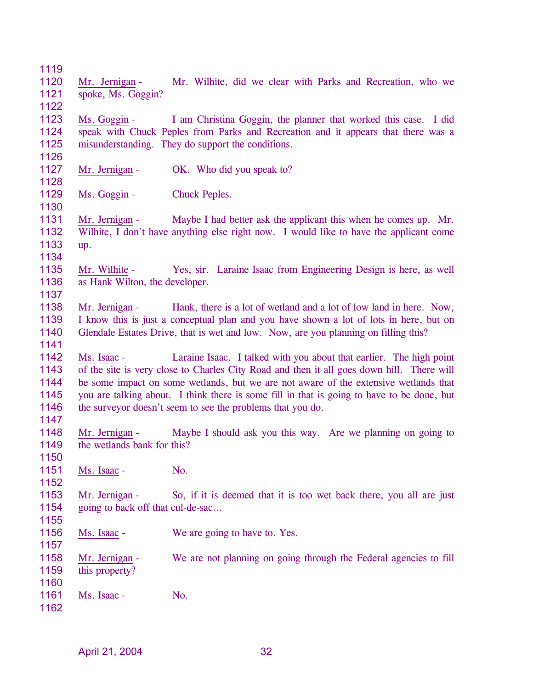1119 1120 1121 1122 Mr. Jernigan - Mr. Wilhite, did we clear with Parks and Recreation, who we spoke, Ms. Goggin? 1123 1124 1125 1126 Ms. Goggin - I am Christina Goggin, the planner that worked this case. I did speak with Chuck Peples from Parks and Recreation and it appears that there was a misunderstanding. They do support the conditions. 1127 1128 Mr. Jernigan - OK. Who did you speak to? 1129 1130 Ms. Goggin - Chuck Peples. 1131 1132 1133 1134 Mr. Jernigan - Maybe I had better ask the applicant this when he comes up. Mr. Wilhite, I don't have anything else right now. I would like to have the applicant come up. 1135 1136 1137 Mr. Wilhite - Yes, sir. Laraine Isaac from Engineering Design is here, as well as Hank Wilton, the developer. 1138 1139 1140 1141 Mr. Jernigan - Hank, there is a lot of wetland and a lot of low land in here. Now, I know this is just a conceptual plan and you have shown a lot of lots in here, but on Glendale Estates Drive, that is wet and low. Now, are you planning on filling this? 1142 1143 1144 1145 1146 1147 Ms. Isaac - Laraine Isaac. I talked with you about that earlier. The high point of the site is very close to Charles City Road and then it all goes down hill. There will be some impact on some wetlands, but we are not aware of the extensive wetlands that you are talking about. I think there is some fill in that is going to have to be done, but the surveyor doesn't seem to see the problems that you do. 1148 1149 1150 Mr. Jernigan - Maybe I should ask you this way. Are we planning on going to the wetlands bank for this? 1151 1152 Ms. Isaac - No. 1153 1154 1155 Mr. Jernigan - So, if it is deemed that it is too wet back there, you all are just going to back off that cul-de-sac… 1156 1157 Ms. Isaac - We are going to have to. Yes. 1158 1159 1160 Mr. Jernigan - We are not planning on going through the Federal agencies to fill this property? 1161 1162 Ms. Isaac - No.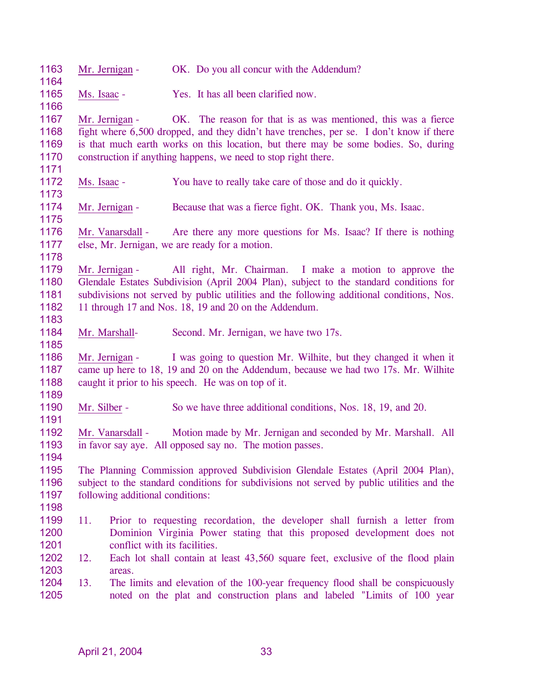| 1163<br>1164                         |                                                                                                                                                                                               | Mr. Jernigan -                                                                                                                                                                                                                                                                                                            |  | OK. Do you all concur with the Addendum?                                                                                                                                                                                                                                                                           |  |  |
|--------------------------------------|-----------------------------------------------------------------------------------------------------------------------------------------------------------------------------------------------|---------------------------------------------------------------------------------------------------------------------------------------------------------------------------------------------------------------------------------------------------------------------------------------------------------------------------|--|--------------------------------------------------------------------------------------------------------------------------------------------------------------------------------------------------------------------------------------------------------------------------------------------------------------------|--|--|
| 1165                                 | Ms. Isaac -                                                                                                                                                                                   |                                                                                                                                                                                                                                                                                                                           |  | Yes. It has all been clarified now.                                                                                                                                                                                                                                                                                |  |  |
| 1166                                 |                                                                                                                                                                                               |                                                                                                                                                                                                                                                                                                                           |  |                                                                                                                                                                                                                                                                                                                    |  |  |
| 1167<br>1168<br>1169<br>1170         |                                                                                                                                                                                               | Mr. Jernigan -                                                                                                                                                                                                                                                                                                            |  | OK. The reason for that is as was mentioned, this was a fierce<br>fight where 6,500 dropped, and they didn't have trenches, per se. I don't know if there<br>is that much earth works on this location, but there may be some bodies. So, during<br>construction if anything happens, we need to stop right there. |  |  |
| 1171<br>1172<br>1173                 | Ms. Isaac -                                                                                                                                                                                   |                                                                                                                                                                                                                                                                                                                           |  | You have to really take care of those and do it quickly.                                                                                                                                                                                                                                                           |  |  |
| 1174<br>1175                         |                                                                                                                                                                                               | Mr. Jernigan -                                                                                                                                                                                                                                                                                                            |  | Because that was a fierce fight. OK. Thank you, Ms. Isaac.                                                                                                                                                                                                                                                         |  |  |
| 1176<br>1177<br>1178                 | Mr. Vanarsdall - Are there any more questions for Ms. Isaac? If there is nothing<br>else, Mr. Jernigan, we are ready for a motion.                                                            |                                                                                                                                                                                                                                                                                                                           |  |                                                                                                                                                                                                                                                                                                                    |  |  |
| 1179<br>1180<br>1181<br>1182<br>1183 |                                                                                                                                                                                               | All right, Mr. Chairman. I make a motion to approve the<br>Mr. Jernigan -<br>Glendale Estates Subdivision (April 2004 Plan), subject to the standard conditions for<br>subdivisions not served by public utilities and the following additional conditions, Nos.<br>11 through 17 and Nos. 18, 19 and 20 on the Addendum. |  |                                                                                                                                                                                                                                                                                                                    |  |  |
| 1184<br>1185                         |                                                                                                                                                                                               | Mr. Marshall-                                                                                                                                                                                                                                                                                                             |  | Second. Mr. Jernigan, we have two 17s.                                                                                                                                                                                                                                                                             |  |  |
| 1186<br>1187<br>1188<br>1189         |                                                                                                                                                                                               | Mr. Jernigan -                                                                                                                                                                                                                                                                                                            |  | I was going to question Mr. Wilhite, but they changed it when it<br>came up here to 18, 19 and 20 on the Addendum, because we had two 17s. Mr. Wilhite<br>caught it prior to his speech. He was on top of it.                                                                                                      |  |  |
| 1190<br>1191                         | Mr. Silber -                                                                                                                                                                                  |                                                                                                                                                                                                                                                                                                                           |  | So we have three additional conditions, Nos. 18, 19, and 20.                                                                                                                                                                                                                                                       |  |  |
| 1192<br>1193<br>1194                 |                                                                                                                                                                                               | Mr. Vanarsdall -                                                                                                                                                                                                                                                                                                          |  | Motion made by Mr. Jernigan and seconded by Mr. Marshall. All<br>in favor say aye. All opposed say no. The motion passes.                                                                                                                                                                                          |  |  |
| 1195<br>1196<br>1197<br>1198         |                                                                                                                                                                                               | following additional conditions:                                                                                                                                                                                                                                                                                          |  | The Planning Commission approved Subdivision Glendale Estates (April 2004 Plan),<br>subject to the standard conditions for subdivisions not served by public utilities and the                                                                                                                                     |  |  |
| 1199<br>1200<br>1201                 | 11.<br>Prior to requesting recordation, the developer shall furnish a letter from<br>Dominion Virginia Power stating that this proposed development does not<br>conflict with its facilities. |                                                                                                                                                                                                                                                                                                                           |  |                                                                                                                                                                                                                                                                                                                    |  |  |
| 1202<br>1203                         | 12.                                                                                                                                                                                           |                                                                                                                                                                                                                                                                                                                           |  | Each lot shall contain at least 43,560 square feet, exclusive of the flood plain                                                                                                                                                                                                                                   |  |  |
| 1204<br>1205                         | areas.<br>13.<br>The limits and elevation of the 100-year frequency flood shall be conspicuously<br>noted on the plat and construction plans and labeled "Limits of 100 year                  |                                                                                                                                                                                                                                                                                                                           |  |                                                                                                                                                                                                                                                                                                                    |  |  |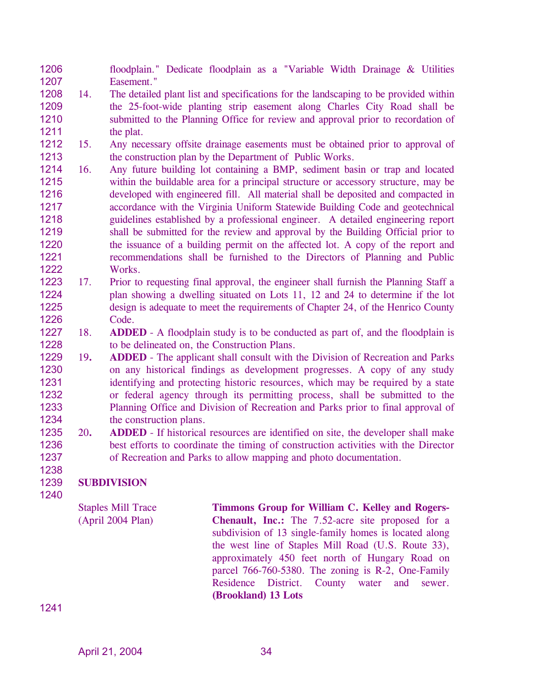1206 1207 floodplain." Dedicate floodplain as a "Variable Width Drainage & Utilities Easement."

- 1208 1209 1210 1211 14. The detailed plant list and specifications for the landscaping to be provided within the 25-foot-wide planting strip easement along Charles City Road shall be submitted to the Planning Office for review and approval prior to recordation of the plat.
- 1212 1213 15. Any necessary offsite drainage easements must be obtained prior to approval of the construction plan by the Department of Public Works.
- 1214 1215 1216 1217 1218 1219 1220 1221 1222 16. Any future building lot containing a BMP, sediment basin or trap and located within the buildable area for a principal structure or accessory structure, may be developed with engineered fill. All material shall be deposited and compacted in accordance with the Virginia Uniform Statewide Building Code and geotechnical guidelines established by a professional engineer. A detailed engineering report shall be submitted for the review and approval by the Building Official prior to the issuance of a building permit on the affected lot. A copy of the report and recommendations shall be furnished to the Directors of Planning and Public Works.
- 1223 1224 1225 1226 17. Prior to requesting final approval, the engineer shall furnish the Planning Staff a plan showing a dwelling situated on Lots 11, 12 and 24 to determine if the lot design is adequate to meet the requirements of Chapter 24, of the Henrico County Code.
- 1227 1228 18. **ADDED** - A floodplain study is to be conducted as part of, and the floodplain is to be delineated on, the Construction Plans.
- 1229 1230 1231 1232 1233 1234 19**. ADDED** - The applicant shall consult with the Division of Recreation and Parks on any historical findings as development progresses. A copy of any study identifying and protecting historic resources, which may be required by a state or federal agency through its permitting process, shall be submitted to the Planning Office and Division of Recreation and Parks prior to final approval of the construction plans.
- 1235 1236 1237 20**. ADDED** - If historical resources are identified on site, the developer shall make best efforts to coordinate the timing of construction activities with the Director of Recreation and Parks to allow mapping and photo documentation.

#### 1239 **SUBDIVISION**

1240

1238

Staples Mill Trace (April 2004 Plan)

**Timmons Group for William C. Kelley and Rogers-Chenault, Inc.:** The 7.52-acre site proposed for a subdivision of 13 single-family homes is located along the west line of Staples Mill Road (U.S. Route 33), approximately 450 feet north of Hungary Road on parcel 766-760-5380. The zoning is R-2, One-Family Residence District. County water and sewer. **(Brookland) 13 Lots**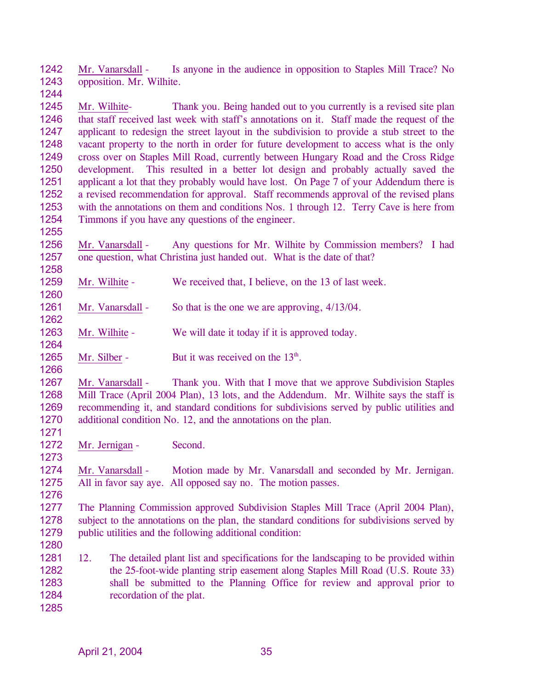1242 1243 Mr. Vanarsdall - Is anyone in the audience in opposition to Staples Mill Trace? No opposition. Mr. Wilhite.

1245 1246 1247 1248 1249 1250 1251 1252 1253 1254 Mr. Wilhite- Thank you. Being handed out to you currently is a revised site plan that staff received last week with staff's annotations on it. Staff made the request of the applicant to redesign the street layout in the subdivision to provide a stub street to the vacant property to the north in order for future development to access what is the only cross over on Staples Mill Road, currently between Hungary Road and the Cross Ridge development. This resulted in a better lot design and probably actually saved the applicant a lot that they probably would have lost. On Page 7 of your Addendum there is a revised recommendation for approval. Staff recommends approval of the revised plans with the annotations on them and conditions Nos. 1 through 12. Terry Cave is here from Timmons if you have any questions of the engineer.

- 1256 1257 Mr. Vanarsdall - Any questions for Mr. Wilhite by Commission members? I had one question, what Christina just handed out. What is the date of that?
- 1259 Mr. Wilhite - We received that, I believe, on the 13 of last week.
- 1261 Mr. Vanarsdall - So that is the one we are approving,  $4/13/04$ .
- 1263 Mr. Wilhite - We will date it today if it is approved today.
- 1265 Mr. Silber - But it was received on the  $13<sup>th</sup>$ .
- 1267 1268 1269 1270 Mr. Vanarsdall - Thank you. With that I move that we approve Subdivision Staples Mill Trace (April 2004 Plan), 13 lots, and the Addendum. Mr. Wilhite says the staff is recommending it, and standard conditions for subdivisions served by public utilities and additional condition No. 12, and the annotations on the plan.
- 1272 Mr. Jernigan - Second.

1244

1255

1258

1260

1262

1264

1266

1271

1273

1276

- 1274 1275 Mr. Vanarsdall - Motion made by Mr. Vanarsdall and seconded by Mr. Jernigan. All in favor say aye. All opposed say no. The motion passes.
- 1277 1278 1279 The Planning Commission approved Subdivision Staples Mill Trace (April 2004 Plan), subject to the annotations on the plan, the standard conditions for subdivisions served by public utilities and the following additional condition:
- 1281 1282 1283 1284 1285 12. The detailed plant list and specifications for the landscaping to be provided within the 25-foot-wide planting strip easement along Staples Mill Road (U.S. Route 33) shall be submitted to the Planning Office for review and approval prior to recordation of the plat.
	- April 21, 2004 35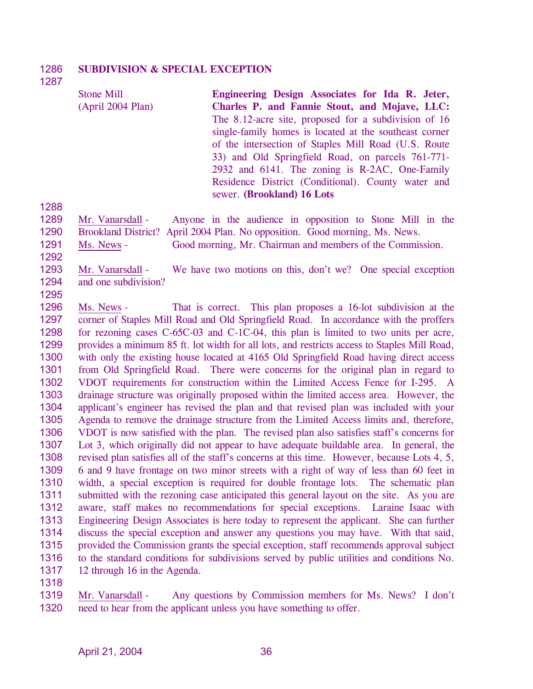#### 1286 **SUBDIVISION & SPECIAL EXCEPTION**

1287

| <b>Stone Mill</b> | Engineering Design Associates for Ida R. Jeter,        |
|-------------------|--------------------------------------------------------|
| (Apri1 2004 Plan) | Charles P. and Fannie Stout, and Mojave, LLC:          |
|                   | The 8.12-acre site, proposed for a subdivision of 16   |
|                   | single-family homes is located at the southeast corner |
|                   | of the intersection of Staples Mill Road (U.S. Route   |
|                   | 33) and Old Springfield Road, on parcels 761-771-      |
|                   | 2932 and 6141. The zoning is R-2AC, One-Family         |
|                   | Residence District (Conditional). County water and     |
|                   | sewer. (Brookland) 16 Lots                             |

1288

1289

1290

1292

1295

Mr. Vanarsdall - Anyone in the audience in opposition to Stone Mill in the Brookland District? April 2004 Plan. No opposition. Good morning, Ms. News. 1291 Ms. News - Good morning, Mr. Chairman and members of the Commission.

1293 1294 Mr. Vanarsdall - We have two motions on this, don't we? One special exception and one subdivision?

1296 1297 1298 1299 1300 1301 1302 1303 1304 1305 1306 1307 1308 1309 1310 1311 1312 1313 1314 1315 1316 1317 Ms. News - That is correct. This plan proposes a 16-lot subdivision at the corner of Staples Mill Road and Old Springfield Road. In accordance with the proffers for rezoning cases C-65C-03 and C-1C-04, this plan is limited to two units per acre, provides a minimum 85 ft. lot width for all lots, and restricts access to Staples Mill Road, with only the existing house located at 4165 Old Springfield Road having direct access from Old Springfield Road. There were concerns for the original plan in regard to VDOT requirements for construction within the Limited Access Fence for I-295. A drainage structure was originally proposed within the limited access area. However, the applicant's engineer has revised the plan and that revised plan was included with your Agenda to remove the drainage structure from the Limited Access limits and, therefore, VDOT is now satisfied with the plan. The revised plan also satisfies staff's concerns for Lot 3, which originally did not appear to have adequate buildable area. In general, the revised plan satisfies all of the staff's concerns at this time. However, because Lots 4, 5, 6 and 9 have frontage on two minor streets with a right of way of less than 60 feet in width, a special exception is required for double frontage lots. The schematic plan submitted with the rezoning case anticipated this general layout on the site. As you are aware, staff makes no recommendations for special exceptions. Laraine Isaac with Engineering Design Associates is here today to represent the applicant. She can further discuss the special exception and answer any questions you may have. With that said, provided the Commission grants the special exception, staff recommends approval subject to the standard conditions for subdivisions served by public utilities and conditions No. 12 through 16 in the Agenda.

1318

Mr. Vanarsdall - Any questions by Commission members for Ms. News? I don't need to hear from the applicant unless you have something to offer. 1319 1320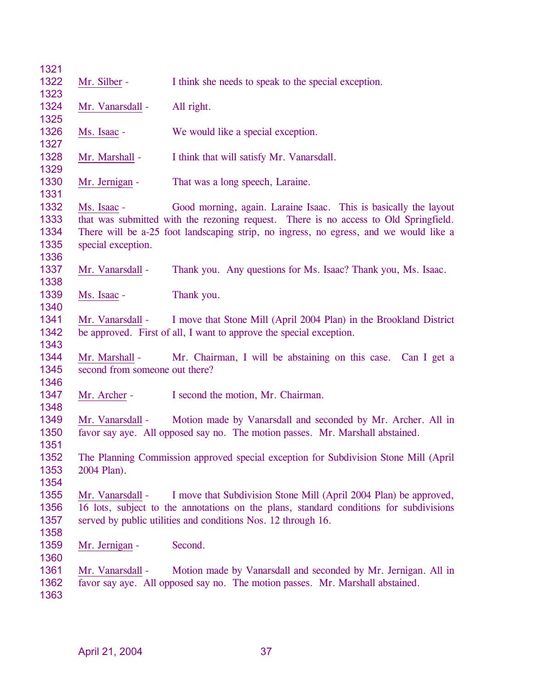| 1321 |                                                                                        |                                                                                       |  |  |  |
|------|----------------------------------------------------------------------------------------|---------------------------------------------------------------------------------------|--|--|--|
| 1322 | Mr. Silber -                                                                           | I think she needs to speak to the special exception.                                  |  |  |  |
| 1323 |                                                                                        |                                                                                       |  |  |  |
| 1324 | Mr. Vanarsdall -                                                                       | All right.                                                                            |  |  |  |
| 1325 |                                                                                        |                                                                                       |  |  |  |
| 1326 | Ms. Isaac -                                                                            | We would like a special exception.                                                    |  |  |  |
| 1327 |                                                                                        |                                                                                       |  |  |  |
| 1328 | Mr. Marshall -                                                                         | I think that will satisfy Mr. Vanarsdall.                                             |  |  |  |
| 1329 |                                                                                        |                                                                                       |  |  |  |
| 1330 | Mr. Jernigan -                                                                         | That was a long speech, Laraine.                                                      |  |  |  |
| 1331 |                                                                                        |                                                                                       |  |  |  |
| 1332 | Ms. Isaac -                                                                            | Good morning, again. Laraine Isaac. This is basically the layout                      |  |  |  |
| 1333 |                                                                                        | that was submitted with the rezoning request. There is no access to Old Springfield.  |  |  |  |
| 1334 |                                                                                        | There will be a-25 foot landscaping strip, no ingress, no egress, and we would like a |  |  |  |
| 1335 | special exception.                                                                     |                                                                                       |  |  |  |
| 1336 |                                                                                        |                                                                                       |  |  |  |
| 1337 | Mr. Vanarsdall -                                                                       | Thank you. Any questions for Ms. Isaac? Thank you, Ms. Isaac.                         |  |  |  |
| 1338 |                                                                                        |                                                                                       |  |  |  |
| 1339 | Ms. Isaac -                                                                            | Thank you.                                                                            |  |  |  |
| 1340 |                                                                                        |                                                                                       |  |  |  |
| 1341 | I move that Stone Mill (April 2004 Plan) in the Brookland District<br>Mr. Vanarsdall - |                                                                                       |  |  |  |
| 1342 | be approved. First of all, I want to approve the special exception.                    |                                                                                       |  |  |  |
| 1343 |                                                                                        |                                                                                       |  |  |  |
| 1344 | Mr. Marshall -<br>Mr. Chairman, I will be abstaining on this case. Can I get a         |                                                                                       |  |  |  |
| 1345 | second from someone out there?                                                         |                                                                                       |  |  |  |
| 1346 |                                                                                        |                                                                                       |  |  |  |
| 1347 | Mr. Archer -                                                                           | I second the motion, Mr. Chairman.                                                    |  |  |  |
| 1348 |                                                                                        |                                                                                       |  |  |  |
| 1349 | Mr. Vanarsdall -                                                                       | Motion made by Vanarsdall and seconded by Mr. Archer. All in                          |  |  |  |
| 1350 |                                                                                        | favor say aye. All opposed say no. The motion passes. Mr. Marshall abstained.         |  |  |  |
| 1351 |                                                                                        |                                                                                       |  |  |  |
| 1352 | The Planning Commission approved special exception for Subdivision Stone Mill (April   |                                                                                       |  |  |  |
| 1353 | 2004 Plan).                                                                            |                                                                                       |  |  |  |
| 1354 |                                                                                        |                                                                                       |  |  |  |
| 1355 | Mr. Vanarsdall -                                                                       | I move that Subdivision Stone Mill (April 2004 Plan) be approved,                     |  |  |  |
| 1356 | 16 lots, subject to the annotations on the plans, standard conditions for subdivisions |                                                                                       |  |  |  |
| 1357 | served by public utilities and conditions Nos. 12 through 16.                          |                                                                                       |  |  |  |
| 1358 |                                                                                        |                                                                                       |  |  |  |
| 1359 | Mr. Jernigan -                                                                         | Second.                                                                               |  |  |  |
| 1360 |                                                                                        |                                                                                       |  |  |  |
| 1361 | Mr. Vanarsdall -                                                                       | Motion made by Vanarsdall and seconded by Mr. Jernigan. All in                        |  |  |  |
| 1362 | favor say aye. All opposed say no. The motion passes. Mr. Marshall abstained.          |                                                                                       |  |  |  |
| 1363 |                                                                                        |                                                                                       |  |  |  |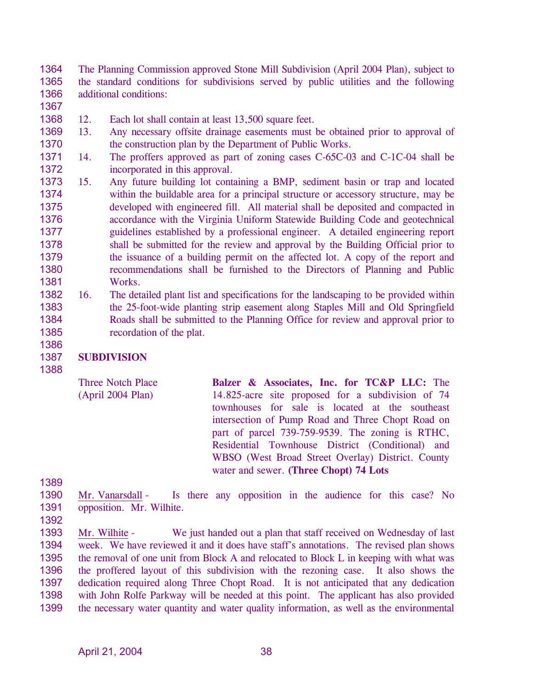1364 1365 1366 The Planning Commission approved Stone Mill Subdivision (April 2004 Plan), subject to the standard conditions for subdivisions served by public utilities and the following additional conditions:

1367

1368 12. Each lot shall contain at least 13,500 square feet.

- 1369 1370 13. Any necessary offsite drainage easements must be obtained prior to approval of the construction plan by the Department of Public Works.
- 1371 1372 14. The proffers approved as part of zoning cases C-65C-03 and C-1C-04 shall be incorporated in this approval.
- 1373 1374 1375 1376 1377 1378 1379 1380 1381 15. Any future building lot containing a BMP, sediment basin or trap and located within the buildable area for a principal structure or accessory structure, may be developed with engineered fill. All material shall be deposited and compacted in accordance with the Virginia Uniform Statewide Building Code and geotechnical guidelines established by a professional engineer. A detailed engineering report shall be submitted for the review and approval by the Building Official prior to the issuance of a building permit on the affected lot. A copy of the report and recommendations shall be furnished to the Directors of Planning and Public Works.
- 1382 1383 1384 1385 16. The detailed plant list and specifications for the landscaping to be provided within the 25-foot-wide planting strip easement along Staples Mill and Old Springfield Roads shall be submitted to the Planning Office for review and approval prior to recordation of the plat.

#### 1387 **SUBDIVISION**

Three Notch Place (April 2004 Plan)

**Balzer & Associates, Inc. for TC&P LLC:** The 14.825-acre site proposed for a subdivision of 74 townhouses for sale is located at the southeast intersection of Pump Road and Three Chopt Road on part of parcel 739-759-9539. The zoning is RTHC, Residential Townhouse District (Conditional) and WBSO (West Broad Street Overlay) District. County water and sewer. **(Three Chopt) 74 Lots** 

1389

1386

1388

- 1390 1391 Mr. Vanarsdall - Is there any opposition in the audience for this case? No opposition. Mr. Wilhite.
- 1392

Mr. Wilhite - We just handed out a plan that staff received on Wednesday of last week. We have reviewed it and it does have staff's annotations. The revised plan shows the removal of one unit from Block A and relocated to Block L in keeping with what was the proffered layout of this subdivision with the rezoning case. It also shows the dedication required along Three Chopt Road. It is not anticipated that any dedication with John Rolfe Parkway will be needed at this point. The applicant has also provided the necessary water quantity and water quality information, as well as the environmental 1393 1394 1395 1396 1397 1398 1399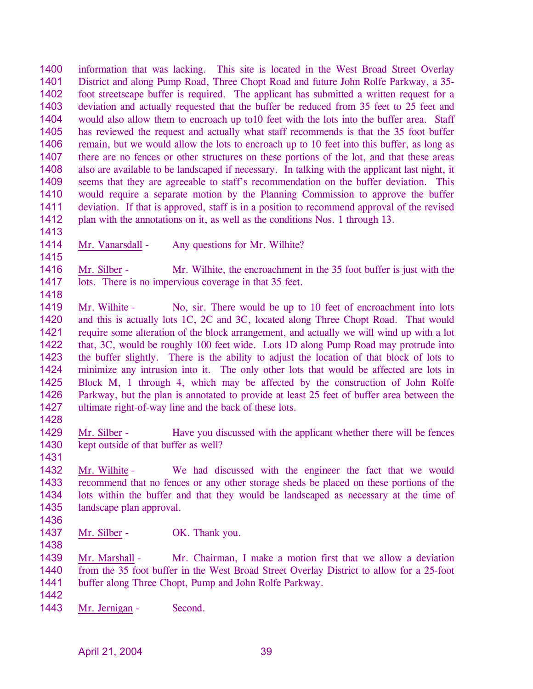1400 1401 1402 1403 1404 1405 1406 1407 1408 1409 1410 1411 1412 information that was lacking. This site is located in the West Broad Street Overlay District and along Pump Road, Three Chopt Road and future John Rolfe Parkway, a 35 foot streetscape buffer is required. The applicant has submitted a written request for a deviation and actually requested that the buffer be reduced from 35 feet to 25 feet and would also allow them to encroach up to10 feet with the lots into the buffer area. Staff has reviewed the request and actually what staff recommends is that the 35 foot buffer remain, but we would allow the lots to encroach up to 10 feet into this buffer, as long as there are no fences or other structures on these portions of the lot, and that these areas also are available to be landscaped if necessary. In talking with the applicant last night, it seems that they are agreeable to staff's recommendation on the buffer deviation. This would require a separate motion by the Planning Commission to approve the buffer deviation. If that is approved, staff is in a position to recommend approval of the revised plan with the annotations on it, as well as the conditions Nos. 1 through 13.

1413

1415

1418

1414 Mr. Vanarsdall - Any questions for Mr. Wilhite?

1416 1417 Mr. Silber - Mr. Wilhite, the encroachment in the 35 foot buffer is just with the lots. There is no impervious coverage in that 35 feet.

- 1419 1420 1421 1422 1423 1424 1425 1426 1427 Mr. Wilhite - No, sir. There would be up to 10 feet of encroachment into lots and this is actually lots 1C, 2C and 3C, located along Three Chopt Road. That would require some alteration of the block arrangement, and actually we will wind up with a lot that, 3C, would be roughly 100 feet wide. Lots 1D along Pump Road may protrude into the buffer slightly. There is the ability to adjust the location of that block of lots to minimize any intrusion into it. The only other lots that would be affected are lots in Block M, 1 through 4, which may be affected by the construction of John Rolfe Parkway, but the plan is annotated to provide at least 25 feet of buffer area between the ultimate right-of-way line and the back of these lots.
- 1428

1431

1429 1430 Mr. Silber - Have you discussed with the applicant whether there will be fences kept outside of that buffer as well?

1432 1433 1434 1435 Mr. Wilhite - We had discussed with the engineer the fact that we would recommend that no fences or any other storage sheds be placed on these portions of the lots within the buffer and that they would be landscaped as necessary at the time of landscape plan approval.

- 1436
- 1437 Mr. Silber - OK. Thank you.
- 1438

1439 1440 1441 Mr. Marshall - Mr. Chairman, I make a motion first that we allow a deviation from the 35 foot buffer in the West Broad Street Overlay District to allow for a 25-foot buffer along Three Chopt, Pump and John Rolfe Parkway.

- 1442
- 1443 Mr. Jernigan Second.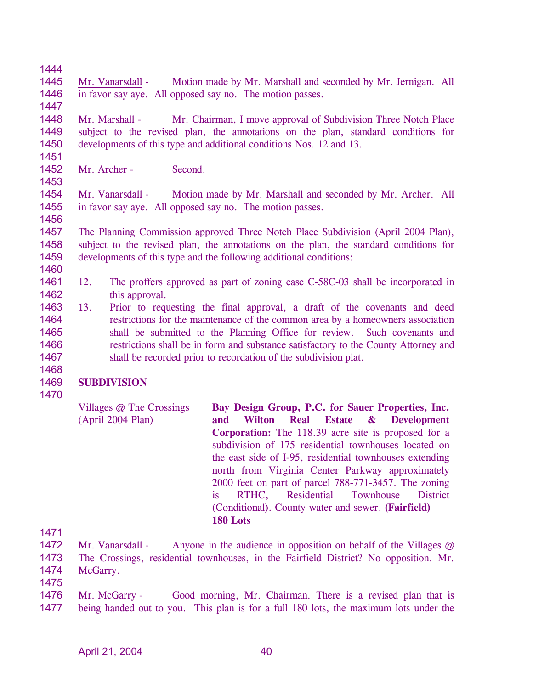1444

1447

1451

1453

1456

1460

1445 1446 Mr. Vanarsdall - Motion made by Mr. Marshall and seconded by Mr. Jernigan. All in favor say aye. All opposed say no. The motion passes.

1448 1449 1450 Mr. Marshall - Mr. Chairman, I move approval of Subdivision Three Notch Place subject to the revised plan, the annotations on the plan, standard conditions for developments of this type and additional conditions Nos. 12 and 13.

1452 Mr. Archer - Second.

1454 1455 Mr. Vanarsdall - Motion made by Mr. Marshall and seconded by Mr. Archer. All in favor say aye. All opposed say no. The motion passes.

1457 1458 1459 The Planning Commission approved Three Notch Place Subdivision (April 2004 Plan), subject to the revised plan, the annotations on the plan, the standard conditions for developments of this type and the following additional conditions:

- 1461 1462 12. The proffers approved as part of zoning case C-58C-03 shall be incorporated in this approval.
- 1463 1464 1465 1466 1467 13. Prior to requesting the final approval, a draft of the covenants and deed restrictions for the maintenance of the common area by a homeowners association shall be submitted to the Planning Office for review. Such covenants and restrictions shall be in form and substance satisfactory to the County Attorney and shall be recorded prior to recordation of the subdivision plat.

# 1468

#### 1469 **SUBDIVISION**

1470

Villages @ The Crossings (April 2004 Plan) **Bay Design Group, P.C. for Sauer Properties, Inc. and Wilton Real Estate & Development Corporation:** The 118.39 acre site is proposed for a subdivision of 175 residential townhouses located on the east side of I-95, residential townhouses extending north from Virginia Center Parkway approximately 2000 feet on part of parcel 788-771-3457. The zoning is RTHC, Residential Townhouse District (Conditional). County water and sewer. **(Fairfield) 180 Lots** 

1471

1472 1473 1474 Mr. Vanarsdall - Anyone in the audience in opposition on behalf of the Villages @ The Crossings, residential townhouses, in the Fairfield District? No opposition. Mr. McGarry.

1475

Mr. McGarry - Good morning, Mr. Chairman. There is a revised plan that is being handed out to you. This plan is for a full 180 lots, the maximum lots under the 1476 1477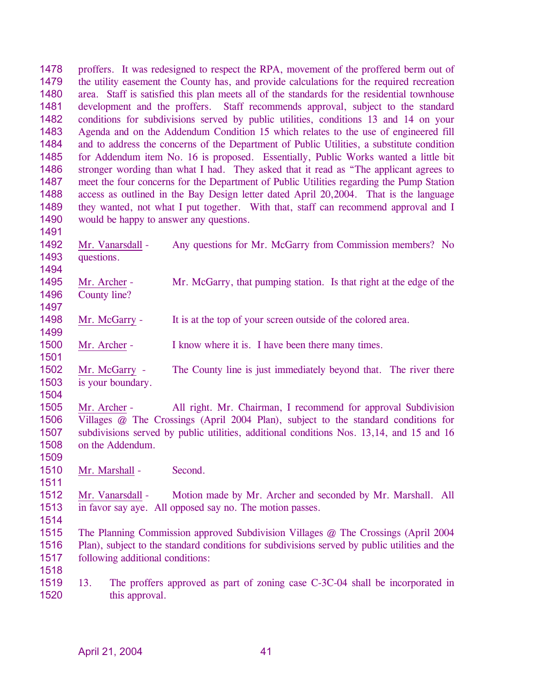1478 1479 1480 1481 1482 1483 1484 1485 1486 1487 1488 1489 1490 1491 proffers. It was redesigned to respect the RPA, movement of the proffered berm out of the utility easement the County has, and provide calculations for the required recreation area. Staff is satisfied this plan meets all of the standards for the residential townhouse development and the proffers. Staff recommends approval, subject to the standard conditions for subdivisions served by public utilities, conditions 13 and 14 on your Agenda and on the Addendum Condition 15 which relates to the use of engineered fill and to address the concerns of the Department of Public Utilities, a substitute condition for Addendum item No. 16 is proposed. Essentially, Public Works wanted a little bit stronger wording than what I had. They asked that it read as "The applicant agrees to meet the four concerns for the Department of Public Utilities regarding the Pump Station access as outlined in the Bay Design letter dated April 20,2004. That is the language they wanted, not what I put together. With that, staff can recommend approval and I would be happy to answer any questions. 1492 1493 1494 Mr. Vanarsdall - Any questions for Mr. McGarry from Commission members? No questions. 1495 1496 1497 Mr. Archer - Mr. McGarry, that pumping station. Is that right at the edge of the County line? 1498 1499 Mr. McGarry - It is at the top of your screen outside of the colored area. 1500 1501 Mr. Archer - I know where it is. I have been there many times. 1502 1503 1504 Mr. McGarry - The County line is just immediately beyond that. The river there is your boundary. 1505 1506 1507 1508 1509 Mr. Archer - All right. Mr. Chairman, I recommend for approval Subdivision Villages @ The Crossings (April 2004 Plan), subject to the standard conditions for subdivisions served by public utilities, additional conditions Nos. 13,14, and 15 and 16 on the Addendum. 1510 1511 Mr. Marshall - Second. 1512 1513 1514 1515 1516 1517 1518 Mr. Vanarsdall - Motion made by Mr. Archer and seconded by Mr. Marshall. All in favor say aye. All opposed say no. The motion passes. The Planning Commission approved Subdivision Villages @ The Crossings (April 2004 Plan), subject to the standard conditions for subdivisions served by public utilities and the following additional conditions:

1519 1520 13. The proffers approved as part of zoning case C-3C-04 shall be incorporated in this approval.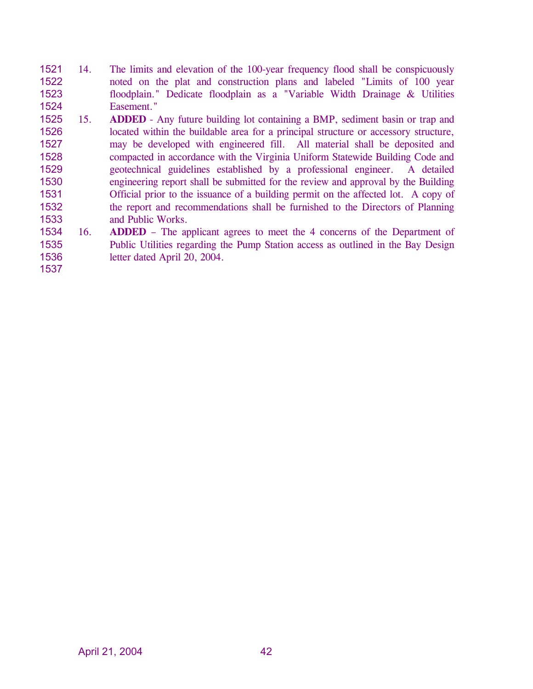- 1521 1522 1523 1524 14. The limits and elevation of the 100-year frequency flood shall be conspicuously noted on the plat and construction plans and labeled "Limits of 100 year floodplain." Dedicate floodplain as a "Variable Width Drainage & Utilities Easement."
- 1525 1526 1527 1528 1529 1530 1531 1532 1533 15. **ADDED** - Any future building lot containing a BMP, sediment basin or trap and located within the buildable area for a principal structure or accessory structure, may be developed with engineered fill. All material shall be deposited and compacted in accordance with the Virginia Uniform Statewide Building Code and geotechnical guidelines established by a professional engineer. A detailed engineering report shall be submitted for the review and approval by the Building Official prior to the issuance of a building permit on the affected lot. A copy of the report and recommendations shall be furnished to the Directors of Planning and Public Works.
- 1534 1535 1536 16. **ADDED** – The applicant agrees to meet the 4 concerns of the Department of Public Utilities regarding the Pump Station access as outlined in the Bay Design letter dated April 20, 2004.
- 1537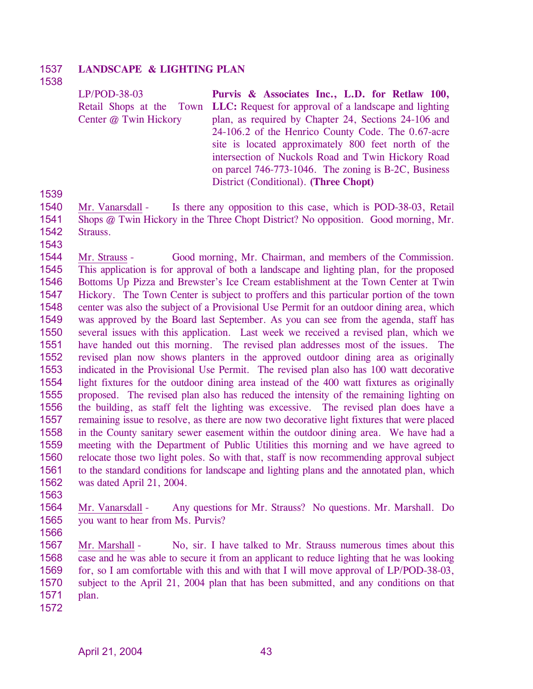#### 1537 **LANDSCAPE & LIGHTING PLAN**

### 1538

LP/POD-38-03 Retail Shops at the Town **LLC:** Request for approval of a landscape and lighting Center @ Twin Hickory **Purvis & Associates Inc., L.D. for Retlaw 100,**  plan, as required by Chapter 24, Sections 24-106 and 24-106.2 of the Henrico County Code. The 0.67-acre site is located approximately 800 feet north of the intersection of Nuckols Road and Twin Hickory Road on parcel 746-773-1046. The zoning is B-2C, Business District (Conditional). **(Three Chopt)** 

1539

- 1540 1541 1542 Mr. Vanarsdall - Is there any opposition to this case, which is POD-38-03, Retail Shops @ Twin Hickory in the Three Chopt District? No opposition. Good morning, Mr. Strauss.
- 1543

1544 1545 1546 1547 1548 1549 1550 1551 1552 1553 1554 1555 1556 1557 1558 1559 1560 1561 1562 Mr. Strauss - Good morning, Mr. Chairman, and members of the Commission. This application is for approval of both a landscape and lighting plan, for the proposed Bottoms Up Pizza and Brewster's Ice Cream establishment at the Town Center at Twin Hickory. The Town Center is subject to proffers and this particular portion of the town center was also the subject of a Provisional Use Permit for an outdoor dining area, which was approved by the Board last September. As you can see from the agenda, staff has several issues with this application. Last week we received a revised plan, which we have handed out this morning. The revised plan addresses most of the issues. The revised plan now shows planters in the approved outdoor dining area as originally indicated in the Provisional Use Permit. The revised plan also has 100 watt decorative light fixtures for the outdoor dining area instead of the 400 watt fixtures as originally proposed. The revised plan also has reduced the intensity of the remaining lighting on the building, as staff felt the lighting was excessive. The revised plan does have a remaining issue to resolve, as there are now two decorative light fixtures that were placed in the County sanitary sewer easement within the outdoor dining area. We have had a meeting with the Department of Public Utilities this morning and we have agreed to relocate those two light poles. So with that, staff is now recommending approval subject to the standard conditions for landscape and lighting plans and the annotated plan, which was dated April 21, 2004.

1563

1564 1565 Mr. Vanarsdall - Any questions for Mr. Strauss? No questions. Mr. Marshall. Do you want to hear from Ms. Purvis?

1566

1567 1568 1569 1570 1571 Mr. Marshall - No, sir. I have talked to Mr. Strauss numerous times about this case and he was able to secure it from an applicant to reduce lighting that he was looking for, so I am comfortable with this and with that I will move approval of LP/POD-38-03, subject to the April 21, 2004 plan that has been submitted, and any conditions on that plan.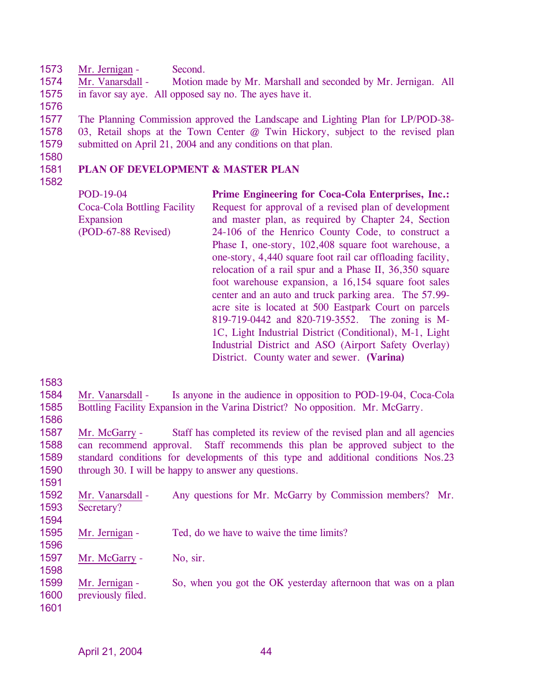1573 Mr. Jernigan - Second.

1574 1575 Mr. Vanarsdall - Motion made by Mr. Marshall and seconded by Mr. Jernigan. All in favor say aye. All opposed say no. The ayes have it.

1576

1577 1578 1579 The Planning Commission approved the Landscape and Lighting Plan for LP/POD-38- 03, Retail shops at the Town Center @ Twin Hickory, subject to the revised plan submitted on April 21, 2004 and any conditions on that plan.

1580

#### 1581 **PLAN OF DEVELOPMENT & MASTER PLAN**

1582

POD-19-04 Coca-Cola Bottling Facility Expansion (POD-67-88 Revised) **Prime Engineering for Coca-Cola Enterprises, Inc.:** Request for approval of a revised plan of development and master plan, as required by Chapter 24, Section 24-106 of the Henrico County Code, to construct a Phase I, one-story, 102,408 square foot warehouse, a one-story, 4,440 square foot rail car offloading facility, relocation of a rail spur and a Phase II, 36,350 square foot warehouse expansion, a 16,154 square foot sales center and an auto and truck parking area. The 57.99 acre site is located at 500 Eastpark Court on parcels 819-719-0442 and 820-719-3552. The zoning is M-1C, Light Industrial District (Conditional), M-1, Light Industrial District and ASO (Airport Safety Overlay) District. County water and sewer. **(Varina)** 

1583 1584 1585 1586 Mr. Vanarsdall - Is anyone in the audience in opposition to POD-19-04, Coca-Cola Bottling Facility Expansion in the Varina District? No opposition. Mr. McGarry. 1587 1588 1589 1590 1591 Mr. McGarry - Staff has completed its review of the revised plan and all agencies can recommend approval. Staff recommends this plan be approved subject to the standard conditions for developments of this type and additional conditions Nos.23 through 30. I will be happy to answer any questions. 1592 1593 1594 Mr. Vanarsdall - Any questions for Mr. McGarry by Commission members? Mr. Secretary? 1595 1596 Mr. Jernigan - Ted, do we have to waive the time limits? 1597 1598 Mr. McGarry - No, sir. 1599 1600 1601 Mr. Jernigan - So, when you got the OK yesterday afternoon that was on a plan previously filed.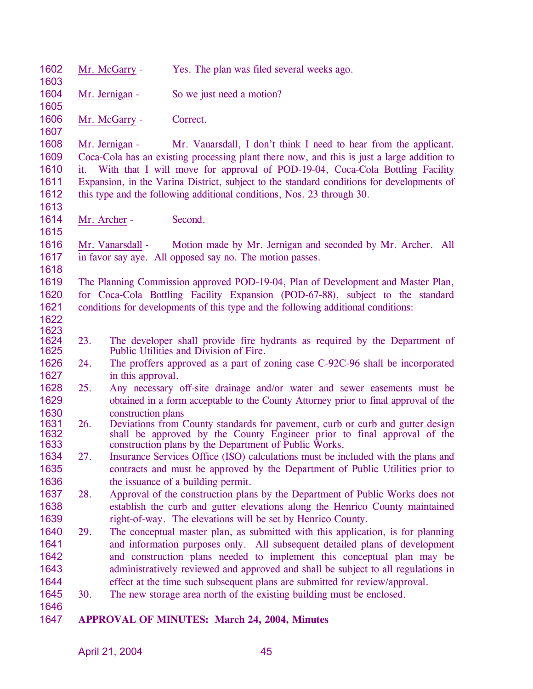| 1602<br>1603 |                                                                                                                                                                                  | Mr. McGarry -                                                                                                                    | Yes. The plan was filed several weeks ago.                                                                           |  |  |
|--------------|----------------------------------------------------------------------------------------------------------------------------------------------------------------------------------|----------------------------------------------------------------------------------------------------------------------------------|----------------------------------------------------------------------------------------------------------------------|--|--|
| 1604         |                                                                                                                                                                                  |                                                                                                                                  |                                                                                                                      |  |  |
| 1605         |                                                                                                                                                                                  | So we just need a motion?<br>Mr. Jernigan -                                                                                      |                                                                                                                      |  |  |
| 1606         |                                                                                                                                                                                  | Mr. McGarry -                                                                                                                    | Correct.                                                                                                             |  |  |
| 1607         |                                                                                                                                                                                  |                                                                                                                                  |                                                                                                                      |  |  |
| 1608<br>1609 | Mr. Vanarsdall, I don't think I need to hear from the applicant.<br>Mr. Jernigan -<br>Coca-Cola has an existing processing plant there now, and this is just a large addition to |                                                                                                                                  |                                                                                                                      |  |  |
| 1610         | it.                                                                                                                                                                              |                                                                                                                                  | With that I will move for approval of POD-19-04, Coca-Cola Bottling Facility                                         |  |  |
| 1611         | Expansion, in the Varina District, subject to the standard conditions for developments of                                                                                        |                                                                                                                                  |                                                                                                                      |  |  |
| 1612         |                                                                                                                                                                                  |                                                                                                                                  | this type and the following additional conditions, Nos. 23 through 30.                                               |  |  |
| 1613         |                                                                                                                                                                                  |                                                                                                                                  |                                                                                                                      |  |  |
| 1614         |                                                                                                                                                                                  | Mr. Archer -                                                                                                                     | Second.                                                                                                              |  |  |
| 1615         |                                                                                                                                                                                  |                                                                                                                                  |                                                                                                                      |  |  |
| 1616         |                                                                                                                                                                                  | Mr. Vanarsdall -                                                                                                                 | Motion made by Mr. Jernigan and seconded by Mr. Archer. All                                                          |  |  |
| 1617         |                                                                                                                                                                                  |                                                                                                                                  | in favor say aye. All opposed say no. The motion passes.                                                             |  |  |
| 1618         |                                                                                                                                                                                  |                                                                                                                                  |                                                                                                                      |  |  |
| 1619         |                                                                                                                                                                                  |                                                                                                                                  | The Planning Commission approved POD-19-04, Plan of Development and Master Plan,                                     |  |  |
| 1620         |                                                                                                                                                                                  |                                                                                                                                  | for Coca-Cola Bottling Facility Expansion (POD-67-88), subject to the standard                                       |  |  |
| 1621         |                                                                                                                                                                                  |                                                                                                                                  | conditions for developments of this type and the following additional conditions:                                    |  |  |
| 1622         |                                                                                                                                                                                  |                                                                                                                                  |                                                                                                                      |  |  |
| 1623<br>1624 | 23.                                                                                                                                                                              |                                                                                                                                  |                                                                                                                      |  |  |
| 1625         |                                                                                                                                                                                  |                                                                                                                                  | The developer shall provide fire hydrants as required by the Department of<br>Public Utilities and Division of Fire. |  |  |
| 1626         | 24.                                                                                                                                                                              | The proffers approved as a part of zoning case C-92C-96 shall be incorporated                                                    |                                                                                                                      |  |  |
| 1627         |                                                                                                                                                                                  | in this approval.                                                                                                                |                                                                                                                      |  |  |
| 1628         | 25.                                                                                                                                                                              | Any necessary off-site drainage and/or water and sewer easements must be                                                         |                                                                                                                      |  |  |
| 1629         |                                                                                                                                                                                  | obtained in a form acceptable to the County Attorney prior to final approval of the                                              |                                                                                                                      |  |  |
| 1630         |                                                                                                                                                                                  | construction plans                                                                                                               |                                                                                                                      |  |  |
| 1631         | 26.                                                                                                                                                                              | Deviations from County standards for pavement, curb or curb and gutter design                                                    |                                                                                                                      |  |  |
| 1632<br>1633 |                                                                                                                                                                                  | shall be approved by the County Engineer prior to final approval of the<br>construction plans by the Department of Public Works. |                                                                                                                      |  |  |
| 1634         | 27.                                                                                                                                                                              | Insurance Services Office (ISO) calculations must be included with the plans and                                                 |                                                                                                                      |  |  |
| 1635         |                                                                                                                                                                                  | contracts and must be approved by the Department of Public Utilities prior to                                                    |                                                                                                                      |  |  |
| 1636         |                                                                                                                                                                                  |                                                                                                                                  | the issuance of a building permit.                                                                                   |  |  |
| 1637         | 28.                                                                                                                                                                              |                                                                                                                                  | Approval of the construction plans by the Department of Public Works does not                                        |  |  |
| 1638         |                                                                                                                                                                                  |                                                                                                                                  | establish the curb and gutter elevations along the Henrico County maintained                                         |  |  |
| 1639         |                                                                                                                                                                                  |                                                                                                                                  | right-of-way. The elevations will be set by Henrico County.                                                          |  |  |
| 1640         | 29.                                                                                                                                                                              |                                                                                                                                  | The conceptual master plan, as submitted with this application, is for planning                                      |  |  |
| 1641         |                                                                                                                                                                                  |                                                                                                                                  | and information purposes only. All subsequent detailed plans of development                                          |  |  |
| 1642         |                                                                                                                                                                                  |                                                                                                                                  | and construction plans needed to implement this conceptual plan may be                                               |  |  |
| 1643         |                                                                                                                                                                                  |                                                                                                                                  | administratively reviewed and approved and shall be subject to all regulations in                                    |  |  |
| 1644         |                                                                                                                                                                                  |                                                                                                                                  | effect at the time such subsequent plans are submitted for review/approval.                                          |  |  |
| 1645         | 30.                                                                                                                                                                              |                                                                                                                                  | The new storage area north of the existing building must be enclosed.                                                |  |  |
| 1646         |                                                                                                                                                                                  |                                                                                                                                  |                                                                                                                      |  |  |
| 1647         |                                                                                                                                                                                  |                                                                                                                                  | <b>APPROVAL OF MINUTES: March 24, 2004, Minutes</b>                                                                  |  |  |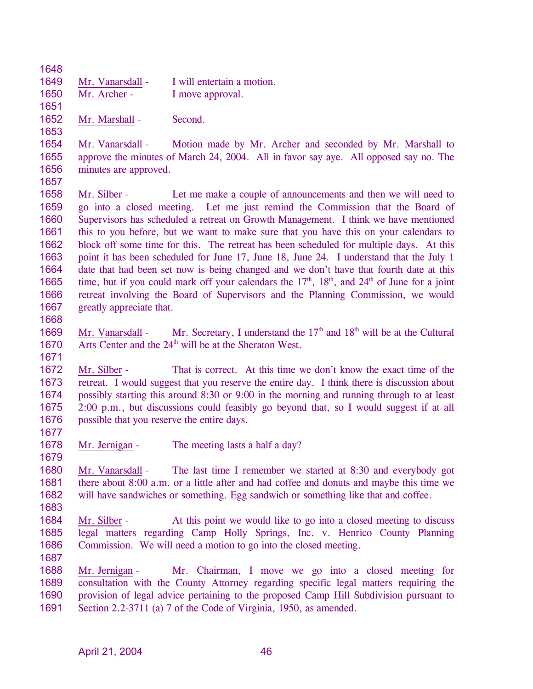1648

1653

1649 Mr. Vanarsdall - I will entertain a motion. 1650 1651 Mr. Archer - I move approval.

1652 Mr. Marshall - Second.

1654 1655 1656 Mr. Vanarsdall - Motion made by Mr. Archer and seconded by Mr. Marshall to approve the minutes of March 24, 2004. All in favor say aye. All opposed say no. The minutes are approved.

- 1657 Mr. Silber - Let me make a couple of announcements and then we will need to go into a closed meeting. Let me just remind the Commission that the Board of Supervisors has scheduled a retreat on Growth Management. I think we have mentioned this to you before, but we want to make sure that you have this on your calendars to block off some time for this. The retreat has been scheduled for multiple days. At this point it has been scheduled for June 17, June 18, June 24. I understand that the July 1 date that had been set now is being changed and we don't have that fourth date at this time, but if you could mark off your calendars the  $17<sup>th</sup>$ ,  $18<sup>th</sup>$ , and  $24<sup>th</sup>$  of June for a joint 1658 1659 1660 1661 1662 1663 1664 1665 1666 1667 retreat involving the Board of Supervisors and the Planning Commission, we would greatly appreciate that.
- 1668

1671

1677

1679

Mr. Vanarsdall - Mr. Secretary, I understand the  $17<sup>th</sup>$  and  $18<sup>th</sup>$  will be at the Cultural Arts Center and the  $24<sup>th</sup>$  will be at the Sheraton West. 1669 1670

1672 1673 1674 1675 1676 Mr. Silber - That is correct. At this time we don't know the exact time of the retreat. I would suggest that you reserve the entire day. I think there is discussion about possibly starting this around 8:30 or 9:00 in the morning and running through to at least 2:00 p.m., but discussions could feasibly go beyond that, so I would suggest if at all possible that you reserve the entire days.

- 1678 Mr. Jernigan - The meeting lasts a half a day?
- 1680 1681 1682 Mr. Vanarsdall - The last time I remember we started at 8:30 and everybody got there about 8:00 a.m. or a little after and had coffee and donuts and maybe this time we will have sandwiches or something. Egg sandwich or something like that and coffee.
- 1683

1684 1685 1686 1687 Mr. Silber - At this point we would like to go into a closed meeting to discuss legal matters regarding Camp Holly Springs, Inc. v. Henrico County Planning Commission. We will need a motion to go into the closed meeting.

Mr. Jernigan - Mr. Chairman, I move we go into a closed meeting for consultation with the County Attorney regarding specific legal matters requiring the provision of legal advice pertaining to the proposed Camp Hill Subdivision pursuant to Section 2.2-3711 (a) 7 of the Code of Virginia, 1950, as amended. 1688 1689 1690 1691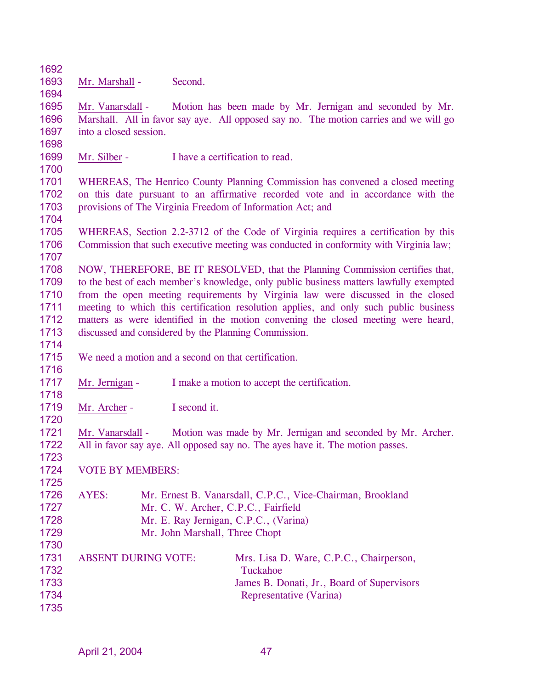1692

1694

1693 Mr. Marshall - Second.

1695 1696 1697 Mr. Vanarsdall - Motion has been made by Mr. Jernigan and seconded by Mr. Marshall. All in favor say aye. All opposed say no. The motion carries and we will go into a closed session.

- 1698
- 1699 Mr. Silber - I have a certification to read.
- 1700

1704

1707

1701 1702 1703 WHEREAS, The Henrico County Planning Commission has convened a closed meeting on this date pursuant to an affirmative recorded vote and in accordance with the provisions of The Virginia Freedom of Information Act; and

1705 1706 WHEREAS, Section 2.2-3712 of the Code of Virginia requires a certification by this Commission that such executive meeting was conducted in conformity with Virginia law;

1708 1709 1710 1711 1712 1713 NOW, THEREFORE, BE IT RESOLVED, that the Planning Commission certifies that, to the best of each member's knowledge, only public business matters lawfully exempted from the open meeting requirements by Virginia law were discussed in the closed meeting to which this certification resolution applies, and only such public business matters as were identified in the motion convening the closed meeting were heard, discussed and considered by the Planning Commission.

1714

1716

1718

1720

1723

1725

1715 We need a motion and a second on that certification.

- 1717 Mr. Jernigan - I make a motion to accept the certification.
- 1719 Mr. Archer - I second it.

1721 1722 Mr. Vanarsdall - Motion was made by Mr. Jernigan and seconded by Mr. Archer. All in favor say aye. All opposed say no. The ayes have it. The motion passes.

1724 VOTE BY MEMBERS:

1726 1727 1728 1729 1730 AYES: Mr. Ernest B. Vanarsdall, C.P.C., Vice-Chairman, Brookland Mr. C. W. Archer, C.P.C., Fairfield Mr. E. Ray Jernigan, C.P.C., (Varina) Mr. John Marshall, Three Chopt

| 1731 | <b>ABSENT DURING VOTE:</b> | Mrs. Lisa D. Ware, C.P.C., Chairperson,    |
|------|----------------------------|--------------------------------------------|
| 1732 |                            | Tuckahoe                                   |
| 1733 |                            | James B. Donati, Jr., Board of Supervisors |
| 1734 |                            | Representative (Varina)                    |
| 1735 |                            |                                            |